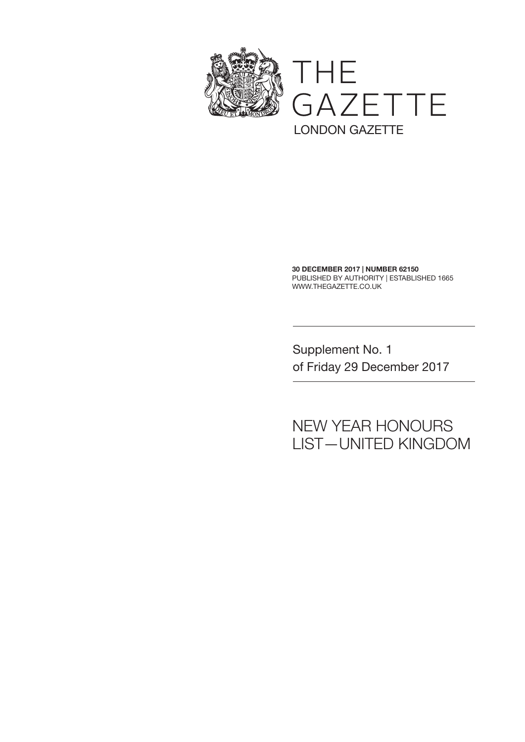

30 DECEMBER 2017 | NUMBER 62150 PUBLISHED BY AUTHORITY | ESTABLISHED 1665 WWW.THEGAZETTE.CO.UK

Supplement No. 1 of Friday 29 December 2017

## NEW YEAR HONOURS LIST—UNITED KINGDOM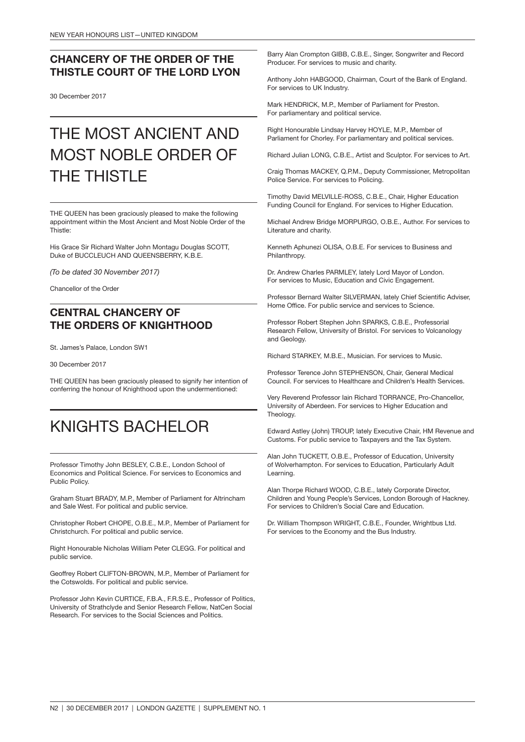### CHANCERY OF THE ORDER OF THE THISTLE COURT OF THE LORD LYON

30 December 2017

## THE MOST ANCIENT AND MOST NOBLE ORDER OF THE THISTLE

THE QUEEN has been graciously pleased to make the following appointment within the Most Ancient and Most Noble Order of the Thistle:

His Grace Sir Richard Walter John Montagu Douglas SCOTT, Duke of BUCCLEUCH AND QUEENSBERRY, K.B.E.

*(To be dated 30 November 2017)*

Chancellor of the Order

### CENTRAL CHANCERY OF THE ORDERS OF KNIGHTHOOD

St. James's Palace, London SW1

30 December 2017

THE QUEEN has been graciously pleased to signify her intention of conferring the honour of Knighthood upon the undermentioned:

## KNIGHTS BACHELOR

Professor Timothy John BESLEY, C.B.E., London School of Economics and Political Science. For services to Economics and Public Policy.

Graham Stuart BRADY, M.P., Member of Parliament for Altrincham and Sale West. For political and public service.

Christopher Robert CHOPE, O.B.E., M.P., Member of Parliament for Christchurch. For political and public service.

Right Honourable Nicholas William Peter CLEGG. For political and public service.

Geoffrey Robert CLIFTON-BROWN, M.P., Member of Parliament for the Cotswolds. For political and public service.

Professor John Kevin CURTICE, F.B.A., F.R.S.E., Professor of Politics, University of Strathclyde and Senior Research Fellow, NatCen Social Research. For services to the Social Sciences and Politics.

Barry Alan Crompton GIBB, C.B.E., Singer, Songwriter and Record Producer. For services to music and charity.

Anthony John HABGOOD, Chairman, Court of the Bank of England. For services to UK Industry.

Mark HENDRICK, M.P., Member of Parliament for Preston. For parliamentary and political service.

Right Honourable Lindsay Harvey HOYLE, M.P., Member of Parliament for Chorley. For parliamentary and political services.

Richard Julian LONG, C.B.E., Artist and Sculptor. For services to Art.

Craig Thomas MACKEY, Q.P.M., Deputy Commissioner, Metropolitan Police Service. For services to Policing.

Timothy David MELVILLE-ROSS, C.B.E., Chair, Higher Education Funding Council for England. For services to Higher Education.

Michael Andrew Bridge MORPURGO, O.B.E., Author. For services to Literature and charity.

Kenneth Aphunezi OLISA, O.B.E. For services to Business and Philanthropy.

Dr. Andrew Charles PARMLEY, lately Lord Mayor of London. For services to Music, Education and Civic Engagement.

Professor Bernard Walter SILVERMAN, lately Chief Scientific Adviser, Home Office. For public service and services to Science.

Professor Robert Stephen John SPARKS, C.B.E., Professorial Research Fellow, University of Bristol. For services to Volcanology and Geology.

Richard STARKEY, M.B.E., Musician. For services to Music.

Professor Terence John STEPHENSON, Chair, General Medical Council. For services to Healthcare and Children's Health Services.

Very Reverend Professor Iain Richard TORRANCE, Pro-Chancellor, University of Aberdeen. For services to Higher Education and Theology.

Edward Astley (John) TROUP, lately Executive Chair, HM Revenue and Customs. For public service to Taxpayers and the Tax System.

Alan John TUCKETT, O.B.E., Professor of Education, University of Wolverhampton. For services to Education, Particularly Adult Learning.

Alan Thorpe Richard WOOD, C.B.E., lately Corporate Director, Children and Young People's Services, London Borough of Hackney. For services to Children's Social Care and Education.

Dr. William Thompson WRIGHT, C.B.E., Founder, Wrightbus Ltd. For services to the Economy and the Bus Industry.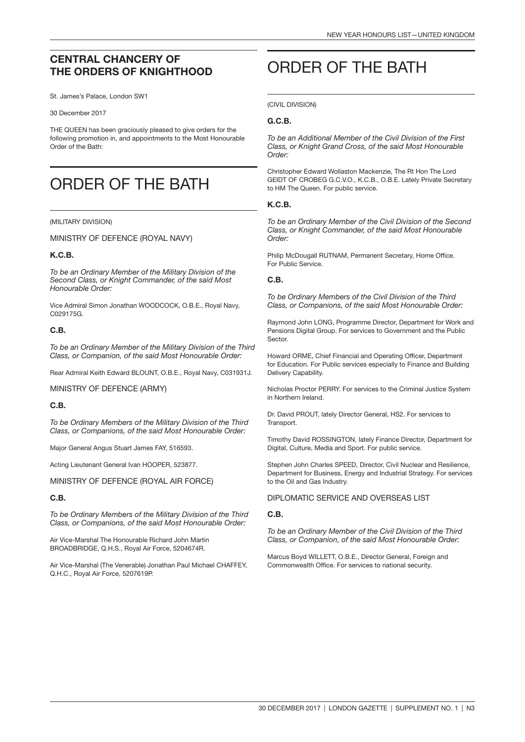### CENTRAL CHANCERY OF THE ORDERS OF KNIGHTHOOD

St. James's Palace, London SW1

#### 30 December 2017

THE QUEEN has been graciously pleased to give orders for the following promotion in, and appointments to the Most Honourable Order of the Bath:

## ORDER OF THE BATH

#### (MILITARY DIVISION)

MINISTRY OF DEFENCE (ROYAL NAVY)

#### K.C.B.

*To be an Ordinary Member of the Military Division of the Second Class, or Knight Commander, of the said Most Honourable Order:*

Vice Admiral Simon Jonathan WOODCOCK, O.B.E., Royal Navy, C029175G.

#### C.B.

*To be an Ordinary Member of the Military Division of the Third Class, or Companion, of the said Most Honourable Order:*

Rear Admiral Keith Edward BLOUNT, O.B.E., Royal Navy, C031931J.

MINISTRY OF DEFENCE (ARMY)

#### C.B.

*To be Ordinary Members of the Military Division of the Third Class, or Companions, of the said Most Honourable Order:*

Major General Angus Stuart James FAY, 516593.

Acting Lieutenant General Ivan HOOPER, 523877.

MINISTRY OF DEFENCE (ROYAL AIR FORCE)

#### C.B.

*To be Ordinary Members of the Military Division of the Third Class, or Companions, of the said Most Honourable Order:*

Air Vice-Marshal The Honourable Richard John Martin BROADBRIDGE, Q.H.S., Royal Air Force, 5204674R.

Air Vice-Marshal (The Venerable) Jonathan Paul Michael CHAFFEY, Q.H.C., Royal Air Force, 5207619P.

## ORDER OF THE BATH

(CIVIL DIVISION)

#### G.C.B.

*To be an Additional Member of the Civil Division of the First Class, or Knight Grand Cross, of the said Most Honourable Order:*

Christopher Edward Wollaston Mackenzie, The Rt Hon The Lord GEIDT OF CROBEG G.C.V.O., K.C.B., O.B.E. Lately Private Secretary to HM The Queen. For public service.

#### K.C.B.

*To be an Ordinary Member of the Civil Division of the Second Class, or Knight Commander, of the said Most Honourable Order:*

Philip McDougall RUTNAM, Permanent Secretary, Home Office. For Public Service.

#### C.B.

*To be Ordinary Members of the Civil Division of the Third Class, or Companions, of the said Most Honourable Order:*

Raymond John LONG, Programme Director, Department for Work and Pensions Digital Group. For services to Government and the Public **Sector** 

Howard ORME, Chief Financial and Operating Officer, Department for Education. For Public services especially to Finance and Building Delivery Capability.

Nicholas Proctor PERRY. For services to the Criminal Justice System in Northern Ireland.

Dr. David PROUT, lately Director General, HS2. For services to Transport.

Timothy David ROSSINGTON, lately Finance Director, Department for Digital, Culture, Media and Sport. For public service.

Stephen John Charles SPEED, Director, Civil Nuclear and Resilience, Department for Business, Energy and Industrial Strategy. For services to the Oil and Gas Industry.

#### DIPLOMATIC SERVICE AND OVERSEAS LIST

#### C.B.

*To be an Ordinary Member of the Civil Division of the Third Class, or Companion, of the said Most Honourable Order:*

Marcus Boyd WILLETT, O.B.E., Director General, Foreign and Commonwealth Office. For services to national security.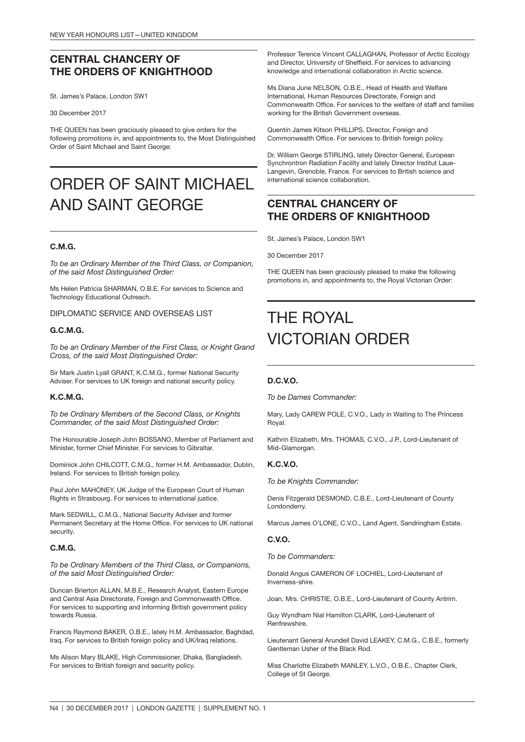### CENTRAL CHANCERY OF THE ORDERS OF KNIGHTHOOD

St. James's Palace, London SW1

30 December 2017

THE QUEEN has been graciously pleased to give orders for the following promotions in, and appointments to, the Most Distinguished Order of Saint Michael and Saint George:

## ORDER OF SAINT MICHAEL AND SAINT GEORGE

#### C.M.G.

*To be an Ordinary Member of the Third Class, or Companion, of the said Most Distinguished Order:*

Ms Helen Patricia SHARMAN, O.B.E. For services to Science and Technology Educational Outreach.

DIPLOMATIC SERVICE AND OVERSEAS LIST

#### G.C.M.G.

*To be an Ordinary Member of the First Class, or Knight Grand Cross, of the said Most Distinguished Order:*

Sir Mark Justin Lyall GRANT, K.C.M.G., former National Security Adviser. For services to UK foreign and national security policy.

#### K.C.M.G.

*To be Ordinary Members of the Second Class, or Knights Commander, of the said Most Distinguished Order:*

The Honourable Joseph John BOSSANO, Member of Parliament and Minister, former Chief Minister. For services to Gibraltar.

Dominick John CHILCOTT, C.M.G., former H.M. Ambassador, Dublin, Ireland. For services to British foreign policy.

Paul John MAHONEY, UK Judge of the European Court of Human Rights in Strasbourg. For services to international justice.

Mark SEDWILL, C.M.G., National Security Adviser and former Permanent Secretary at the Home Office. For services to UK national security.

#### C.M.G.

*To be Ordinary Members of the Third Class, or Companions, of the said Most Distinguished Order:*

Duncan Brierton ALLAN, M.B.E., Research Analyst, Eastern Europe and Central Asia Directorate, Foreign and Commonwealth Office. For services to supporting and informing British government policy towards Russia.

Francis Raymond BAKER, O.B.E., lately H.M. Ambassador, Baghdad, Iraq. For services to British foreign policy and UK/Iraq relations.

Ms Alison Mary BLAKE, High Commissioner, Dhaka, Bangladesh. For services to British foreign and security policy.

Professor Terence Vincent CALLAGHAN, Professor of Arctic Ecology and Director, University of Sheffield. For services to advancing knowledge and international collaboration in Arctic science.

Ms Diana June NELSON, O.B.E., Head of Health and Welfare International, Human Resources Directorate, Foreign and Commonwealth Office. For services to the welfare of staff and families working for the British Government overseas.

Quentin James Kitson PHILLIPS, Director, Foreign and Commonwealth Office. For services to British foreign policy.

Dr. William George STIRLING, lately Director General, European Synchrontron Radiation Facility and lately Director Institut Laue-Langevin, Grenoble, France. For services to British science and international science collaboration.

### CENTRAL CHANCERY OF THE ORDERS OF KNIGHTHOOD

St. James's Palace, London SW1

30 December 2017

THE QUEEN has been graciously pleased to make the following promotions in, and appointments to, the Royal Victorian Order:

## THE ROYAL VICTORIAN ORDER

#### D.C.V.O.

*To be Dames Commander:*

Mary, Lady CAREW POLE, C.V.O., Lady in Waiting to The Princess Royal.

Kathrin Elizabeth, Mrs. THOMAS, C.V.O., J.P., Lord-Lieutenant of Mid-Glamorgan.

#### K.C.V.O.

*To be Knights Commander:*

Denis Fitzgerald DESMOND, C.B.E., Lord-Lieutenant of County Londonderry.

Marcus James O'LONE, C.V.O., Land Agent, Sandringham Estate.

#### C.V.O.

*To be Commanders:*

Donald Angus CAMERON OF LOCHIEL, Lord-Lieutenant of Inverness-shire.

Joan, Mrs. CHRISTIE, O.B.E., Lord-Lieutenant of County Antrim.

Guy Wyndham Nial Hamilton CLARK, Lord-Lieutenant of Renfrewshire.

Lieutenant General Arundell David LEAKEY, C.M.G., C.B.E., formerly Gentleman Usher of the Black Rod.

Miss Charlotte Elizabeth MANLEY, L.V.O., O.B.E., Chapter Clerk, College of St George.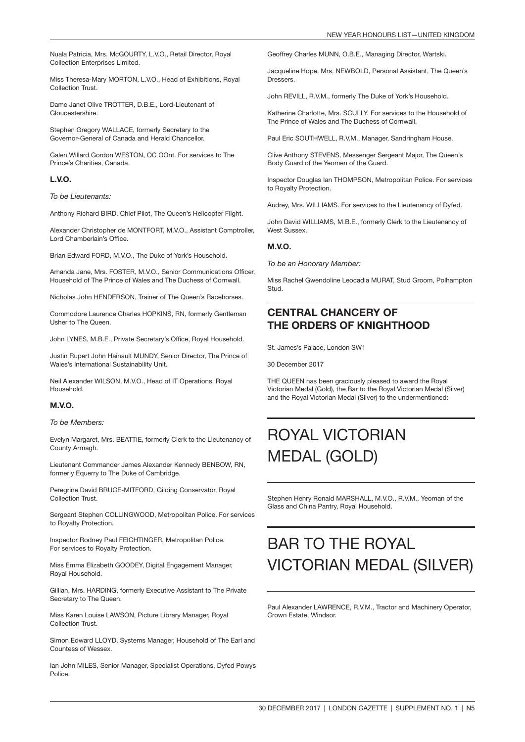Nuala Patricia, Mrs. McGOURTY, L.V.O., Retail Director, Royal Collection Enterprises Limited.

Miss Theresa-Mary MORTON, L.V.O., Head of Exhibitions, Royal Collection Trust.

Dame Janet Olive TROTTER, D.B.E., Lord-Lieutenant of Gloucestershire.

Stephen Gregory WALLACE, formerly Secretary to the Governor-General of Canada and Herald Chancellor.

Galen Willard Gordon WESTON, OC OOnt. For services to The Prince's Charities, Canada.

#### L.V.O.

*To be Lieutenants:*

Anthony Richard BIRD, Chief Pilot, The Queen's Helicopter Flight.

Alexander Christopher de MONTFORT, M.V.O., Assistant Comptroller, Lord Chamberlain's Office.

Brian Edward FORD, M.V.O., The Duke of York's Household.

Amanda Jane, Mrs. FOSTER, M.V.O., Senior Communications Officer, Household of The Prince of Wales and The Duchess of Cornwall.

Nicholas John HENDERSON, Trainer of The Queen's Racehorses.

Commodore Laurence Charles HOPKINS, RN, formerly Gentleman Usher to The Queen.

John LYNES, M.B.E., Private Secretary's Office, Royal Household.

Justin Rupert John Hainault MUNDY, Senior Director, The Prince of Wales's International Sustainability Unit.

Neil Alexander WILSON, M.V.O., Head of IT Operations, Royal Household.

#### M.V.O.

#### *To be Members:*

Evelyn Margaret, Mrs. BEATTIE, formerly Clerk to the Lieutenancy of County Armagh.

Lieutenant Commander James Alexander Kennedy BENBOW, RN, formerly Equerry to The Duke of Cambridge.

Peregrine David BRUCE-MITFORD, Gilding Conservator, Royal Collection Trust.

Sergeant Stephen COLLINGWOOD, Metropolitan Police. For services to Royalty Protection.

Inspector Rodney Paul FEICHTINGER, Metropolitan Police. For services to Royalty Protection.

Miss Emma Elizabeth GOODEY, Digital Engagement Manager, Royal Household.

Gillian, Mrs. HARDING, formerly Executive Assistant to The Private Secretary to The Queen.

Miss Karen Louise LAWSON, Picture Library Manager, Royal Collection Trust.

Simon Edward LLOYD, Systems Manager, Household of The Earl and Countess of Wessex.

Ian John MILES, Senior Manager, Specialist Operations, Dyfed Powys Police.

Geoffrey Charles MUNN, O.B.E., Managing Director, Wartski.

Jacqueline Hope, Mrs. NEWBOLD, Personal Assistant, The Queen's **Dressers** 

John REVILL, R.V.M., formerly The Duke of York's Household.

Katherine Charlotte, Mrs. SCULLY. For services to the Household of The Prince of Wales and The Duchess of Cornwall.

Paul Eric SOUTHWELL, R.V.M., Manager, Sandringham House.

Clive Anthony STEVENS, Messenger Sergeant Major, The Queen's Body Guard of the Yeomen of the Guard.

Inspector Douglas Ian THOMPSON, Metropolitan Police. For services to Royalty Protection.

Audrey, Mrs. WILLIAMS. For services to the Lieutenancy of Dyfed.

John David WILLIAMS, M.B.E., formerly Clerk to the Lieutenancy of West Sussex.

#### M.V.O.

*To be an Honorary Member:*

Miss Rachel Gwendoline Leocadia MURAT, Stud Groom, Polhampton Stud.

### CENTRAL CHANCERY OF THE ORDERS OF KNIGHTHOOD

St. James's Palace, London SW1

30 December 2017

THE QUEEN has been graciously pleased to award the Royal Victorian Medal (Gold), the Bar to the Royal Victorian Medal (Silver) and the Royal Victorian Medal (Silver) to the undermentioned:

## ROYAL VICTORIAN MEDAL (GOLD)

Stephen Henry Ronald MARSHALL, M.V.O., R.V.M., Yeoman of the Glass and China Pantry, Royal Household.

## BAR TO THE ROYAL VICTORIAN MEDAL (SILVER)

Paul Alexander LAWRENCE, R.V.M., Tractor and Machinery Operator, Crown Estate, Windsor.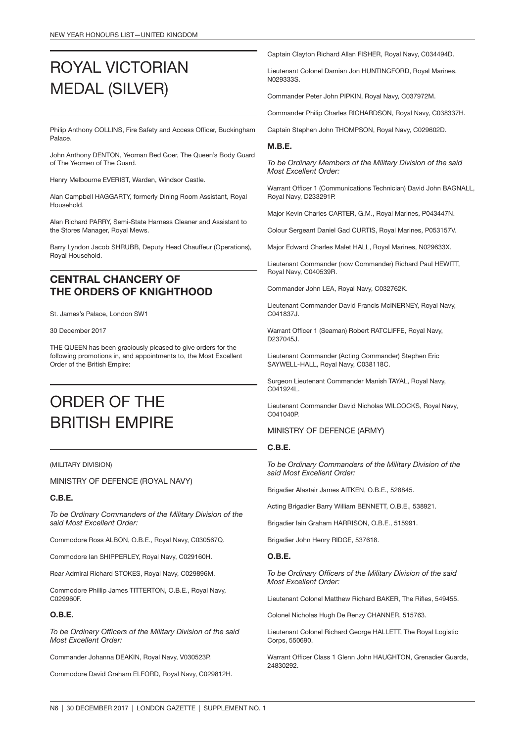## ROYAL VICTORIAN MEDAL (SILVER)

Philip Anthony COLLINS, Fire Safety and Access Officer, Buckingham Palace.

John Anthony DENTON, Yeoman Bed Goer, The Queen's Body Guard of The Yeomen of The Guard.

Henry Melbourne EVERIST, Warden, Windsor Castle.

Alan Campbell HAGGARTY, formerly Dining Room Assistant, Royal Household.

Alan Richard PARRY, Semi-State Harness Cleaner and Assistant to the Stores Manager, Royal Mews.

Barry Lyndon Jacob SHRUBB, Deputy Head Chauffeur (Operations), Royal Household.

### CENTRAL CHANCERY OF THE ORDERS OF KNIGHTHOOD

St. James's Palace, London SW1

#### 30 December 2017

THE QUEEN has been graciously pleased to give orders for the following promotions in, and appointments to, the Most Excellent Order of the British Empire:

## ORDER OF THE BRITISH EMPIRE

#### (MILITARY DIVISION)

MINISTRY OF DEFENCE (ROYAL NAVY)

#### C.B.E.

*To be Ordinary Commanders of the Military Division of the said Most Excellent Order:*

Commodore Ross ALBON, O.B.E., Royal Navy, C030567Q.

Commodore Ian SHIPPERLEY, Royal Navy, C029160H.

Rear Admiral Richard STOKES, Royal Navy, C029896M.

Commodore Phillip James TITTERTON, O.B.E., Royal Navy, C029960F.

#### O.B.E.

*To be Ordinary Officers of the Military Division of the said Most Excellent Order:*

Commander Johanna DEAKIN, Royal Navy, V030523P.

Commodore David Graham ELFORD, Royal Navy, C029812H.

Captain Clayton Richard Allan FISHER, Royal Navy, C034494D.

Lieutenant Colonel Damian Jon HUNTINGFORD, Royal Marines, N029333S.

Commander Peter John PIPKIN, Royal Navy, C037972M.

Commander Philip Charles RICHARDSON, Royal Navy, C038337H.

Captain Stephen John THOMPSON, Royal Navy, C029602D.

#### M.B.E.

*To be Ordinary Members of the Military Division of the said Most Excellent Order:*

Warrant Officer 1 (Communications Technician) David John BAGNALL, Royal Navy, D233291P.

Major Kevin Charles CARTER, G.M., Royal Marines, P043447N.

Colour Sergeant Daniel Gad CURTIS, Royal Marines, P053157V.

Major Edward Charles Malet HALL, Royal Marines, N029633X.

Lieutenant Commander (now Commander) Richard Paul HEWITT, Royal Navy, C040539R.

Commander John LEA, Royal Navy, C032762K.

Lieutenant Commander David Francis McINERNEY, Royal Navy, C041837J.

Warrant Officer 1 (Seaman) Robert RATCLIFFE, Royal Navy, D237045J.

Lieutenant Commander (Acting Commander) Stephen Eric SAYWELL-HALL, Royal Navy, C038118C.

Surgeon Lieutenant Commander Manish TAYAL, Royal Navy, C041924L.

Lieutenant Commander David Nicholas WILCOCKS, Royal Navy, C041040P

#### MINISTRY OF DEFENCE (ARMY)

#### C.B.E.

*To be Ordinary Commanders of the Military Division of the said Most Excellent Order:*

Brigadier Alastair James AITKEN, O.B.E., 528845.

Acting Brigadier Barry William BENNETT, O.B.E., 538921.

Brigadier Iain Graham HARRISON, O.B.E., 515991.

Brigadier John Henry RIDGE, 537618.

#### O.B.E.

*To be Ordinary Officers of the Military Division of the said Most Excellent Order:*

Lieutenant Colonel Matthew Richard BAKER, The Rifles, 549455.

Colonel Nicholas Hugh De Renzy CHANNER, 515763.

Lieutenant Colonel Richard George HALLETT, The Royal Logistic Corps, 550690.

Warrant Officer Class 1 Glenn John HAUGHTON, Grenadier Guards, 24830292.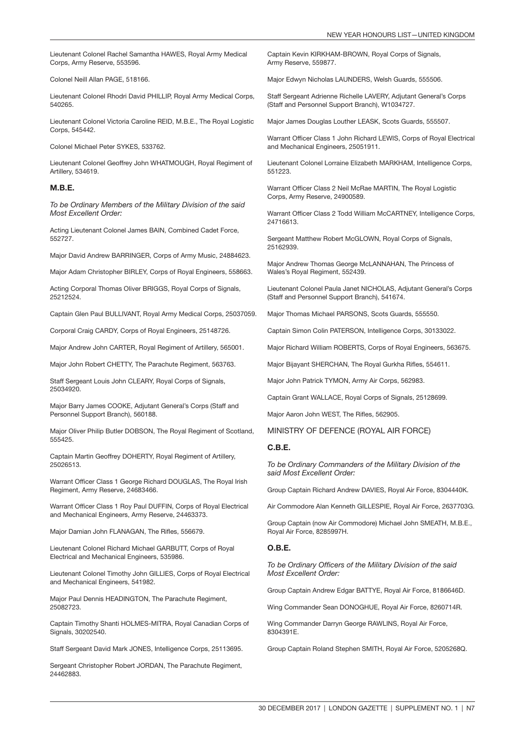Lieutenant Colonel Rachel Samantha HAWES, Royal Army Medical Corps, Army Reserve, 553596.

Colonel Neill Allan PAGE, 518166.

Lieutenant Colonel Rhodri David PHILLIP, Royal Army Medical Corps, 540265.

Lieutenant Colonel Victoria Caroline REID, M.B.E., The Royal Logistic Corps, 545442.

Colonel Michael Peter SYKES, 533762.

Lieutenant Colonel Geoffrey John WHATMOUGH, Royal Regiment of Artillery, 534619.

#### M.B.E.

*To be Ordinary Members of the Military Division of the said Most Excellent Order:*

Acting Lieutenant Colonel James BAIN, Combined Cadet Force, 552727.

Major David Andrew BARRINGER, Corps of Army Music, 24884623.

Major Adam Christopher BIRLEY, Corps of Royal Engineers, 558663.

Acting Corporal Thomas Oliver BRIGGS, Royal Corps of Signals, 25212524.

Captain Glen Paul BULLIVANT, Royal Army Medical Corps, 25037059.

Corporal Craig CARDY, Corps of Royal Engineers, 25148726.

Major Andrew John CARTER, Royal Regiment of Artillery, 565001.

Major John Robert CHETTY, The Parachute Regiment, 563763.

Staff Sergeant Louis John CLEARY, Royal Corps of Signals, 25034920.

Major Barry James COOKE, Adjutant General's Corps (Staff and Personnel Support Branch), 560188.

Major Oliver Philip Butler DOBSON, The Royal Regiment of Scotland, 555425.

Captain Martin Geoffrey DOHERTY, Royal Regiment of Artillery, 25026513.

Warrant Officer Class 1 George Richard DOUGLAS, The Royal Irish Regiment, Army Reserve, 24683466.

Warrant Officer Class 1 Roy Paul DUFFIN, Corps of Royal Electrical and Mechanical Engineers, Army Reserve, 24463373.

Major Damian John FLANAGAN, The Rifles, 556679.

Lieutenant Colonel Richard Michael GARBUTT, Corps of Royal Electrical and Mechanical Engineers, 535986.

Lieutenant Colonel Timothy John GILLIES, Corps of Royal Electrical and Mechanical Engineers, 541982.

Major Paul Dennis HEADINGTON, The Parachute Regiment, 25082723.

Captain Timothy Shanti HOLMES-MITRA, Royal Canadian Corps of Signals, 30202540.

Staff Sergeant David Mark JONES, Intelligence Corps, 25113695.

Sergeant Christopher Robert JORDAN, The Parachute Regiment, 24462883.

Captain Kevin KIRKHAM-BROWN, Royal Corps of Signals, Army Reserve, 559877.

Major Edwyn Nicholas LAUNDERS, Welsh Guards, 555506.

Staff Sergeant Adrienne Richelle LAVERY, Adjutant General's Corps (Staff and Personnel Support Branch), W1034727.

Major James Douglas Louther LEASK, Scots Guards, 555507.

Warrant Officer Class 1 John Richard LEWIS, Corps of Royal Electrical and Mechanical Engineers, 25051911.

Lieutenant Colonel Lorraine Elizabeth MARKHAM, Intelligence Corps, 551223.

Warrant Officer Class 2 Neil McRae MARTIN, The Royal Logistic Corps, Army Reserve, 24900589.

Warrant Officer Class 2 Todd William McCARTNEY, Intelligence Corps, 24716613.

Sergeant Matthew Robert McGLOWN, Royal Corps of Signals, 25162939.

Major Andrew Thomas George McLANNAHAN, The Princess of Wales's Royal Regiment, 552439.

Lieutenant Colonel Paula Janet NICHOLAS, Adjutant General's Corps (Staff and Personnel Support Branch), 541674.

Major Thomas Michael PARSONS, Scots Guards, 555550.

Captain Simon Colin PATERSON, Intelligence Corps, 30133022.

Major Richard William ROBERTS, Corps of Royal Engineers, 563675.

Major Bijayant SHERCHAN, The Royal Gurkha Rifles, 554611.

Major John Patrick TYMON, Army Air Corps, 562983.

Captain Grant WALLACE, Royal Corps of Signals, 25128699.

Major Aaron John WEST, The Rifles, 562905.

MINISTRY OF DEFENCE (ROYAL AIR FORCE)

#### C.B.E.

*To be Ordinary Commanders of the Military Division of the said Most Excellent Order:*

Group Captain Richard Andrew DAVIES, Royal Air Force, 8304440K.

Air Commodore Alan Kenneth GILLESPIE, Royal Air Force, 2637703G.

Group Captain (now Air Commodore) Michael John SMEATH, M.B.E., Royal Air Force, 8285997H.

#### O.B.E.

*To be Ordinary Officers of the Military Division of the said Most Excellent Order:*

Group Captain Andrew Edgar BATTYE, Royal Air Force, 8186646D.

Wing Commander Sean DONOGHUE, Royal Air Force, 8260714R.

Wing Commander Darryn George RAWLINS, Royal Air Force, 8304391E.

Group Captain Roland Stephen SMITH, Royal Air Force, 5205268Q.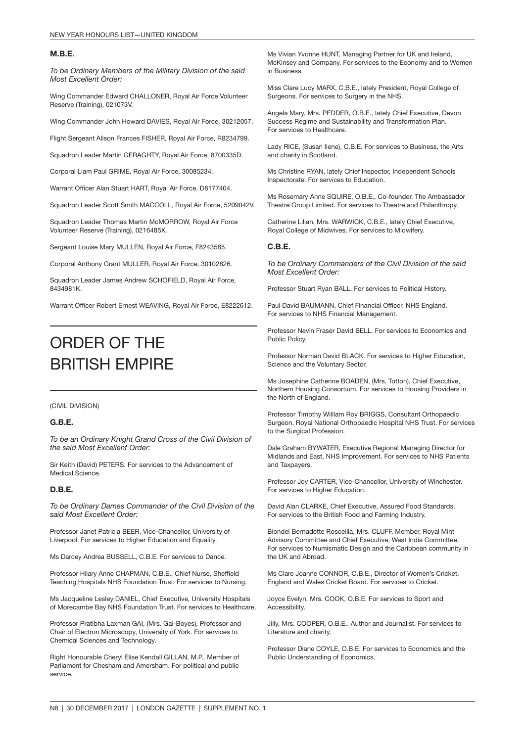#### M.B.E.

*To be Ordinary Members of the Military Division of the said Most Excellent Order:*

Wing Commander Edward CHALLONER, Royal Air Force Volunteer Reserve (Training), 021073V.

Wing Commander John Howard DAVIES, Royal Air Force, 30212057.

Flight Sergeant Alison Frances FISHER, Royal Air Force, R8234799.

Squadron Leader Martin GERAGHTY, Royal Air Force, 8700335D.

Corporal Liam Paul GRIME, Royal Air Force, 30085234.

Warrant Officer Alan Stuart HART, Royal Air Force, D8177404.

Squadron Leader Scott Smith MACCOLL, Royal Air Force, 5209042V.

Squadron Leader Thomas Martin McMORROW, Royal Air Force Volunteer Reserve (Training), 0216485X.

Sergeant Louise Mary MULLEN, Royal Air Force, F8243585.

Corporal Anthony Grant MULLER, Royal Air Force, 30102826.

Squadron Leader James Andrew SCHOFIELD, Royal Air Force, 8434981K.

Warrant Officer Robert Ernest WEAVING, Royal Air Force, E8222612.

## ORDER OF THE BRITISH EMPIRE

(CIVIL DIVISION)

#### G.B.E.

*To be an Ordinary Knight Grand Cross of the Civil Division of the said Most Excellent Order:*

Sir Keith (David) PETERS. For services to the Advancement of Medical Science.

#### D.B.E.

*To be Ordinary Dames Commander of the Civil Division of the said Most Excellent Order:*

Professor Janet Patricia BEER, Vice-Chancellor, University of Liverpool. For services to Higher Education and Equality.

Ms Darcey Andrea BUSSELL, C.B.E. For services to Dance.

Professor Hilary Anne CHAPMAN, C.B.E., Chief Nurse, Sheffield Teaching Hospitals NHS Foundation Trust. For services to Nursing.

Ms Jacqueline Lesley DANIEL, Chief Executive, University Hospitals of Morecambe Bay NHS Foundation Trust. For services to Healthcare.

Professor Pratibha Laxman GAI, (Mrs. Gai-Boyes), Professor and Chair of Electron Microscopy, University of York. For services to Chemical Sciences and Technology.

Right Honourable Cheryl Elise Kendall GILLAN, M.P., Member of Parliament for Chesham and Amersham. For political and public service.

Ms Vivian Yvonne HUNT, Managing Partner for UK and Ireland, McKinsey and Company. For services to the Economy and to Women in Business.

Miss Clare Lucy MARX, C.B.E., lately President, Royal College of Surgeons. For services to Surgery in the NHS.

Angela Mary, Mrs. PEDDER, O.B.E., lately Chief Executive, Devon Success Regime and Sustainability and Transformation Plan. For services to Healthcare.

Lady RICE, (Susan Ilene), C.B.E. For services to Business, the Arts and charity in Scotland.

Ms Christine RYAN, lately Chief Inspector, Independent Schools Inspectorate. For services to Education.

Ms Rosemary Anne SQUIRE, O.B.E., Co-founder, The Ambassador Theatre Group Limited. For services to Theatre and Philanthropy.

Catherine Lilian, Mrs. WARWICK, C.B.E., lately Chief Executive, Royal College of Midwives. For services to Midwifery.

#### C.B.E.

*To be Ordinary Commanders of the Civil Division of the said Most Excellent Order:*

Professor Stuart Ryan BALL. For services to Political History.

Paul David BAUMANN, Chief Financial Officer, NHS England. For services to NHS Financial Management.

Professor Nevin Fraser David BELL. For services to Economics and Public Policy.

Professor Norman David BLACK. For services to Higher Education, Science and the Voluntary Sector.

Ms Josephine Catherine BOADEN, (Mrs. Totton), Chief Executive, Northern Housing Consortium. For services to Housing Providers in the North of England.

Professor Timothy William Roy BRIGGS, Consultant Orthopaedic Surgeon, Royal National Orthopaedic Hospital NHS Trust. For services to the Surgical Profession.

Dale Graham BYWATER, Executive Regional Managing Director for Midlands and East, NHS Improvement. For services to NHS Patients and Taxpayers.

Professor Joy CARTER, Vice-Chancellor, University of Winchester. For services to Higher Education.

David Alan CLARKE, Chief Executive, Assured Food Standards. For services to the British Food and Farming Industry.

Blondel Bernadette Rosceilia, Mrs. CLUFF, Member, Royal Mint Advisory Committee and Chief Executive, West India Committee. For services to Numismatic Design and the Caribbean community in the UK and Abroad.

Ms Clare Joanne CONNOR, O.B.E., Director of Women's Cricket, England and Wales Cricket Board. For services to Cricket.

Joyce Evelyn, Mrs. COOK, O.B.E. For services to Sport and Accessibility.

Jilly, Mrs. COOPER, O.B.E., Author and Journalist. For services to Literature and charity.

Professor Diane COYLE, O.B.E. For services to Economics and the Public Understanding of Economics.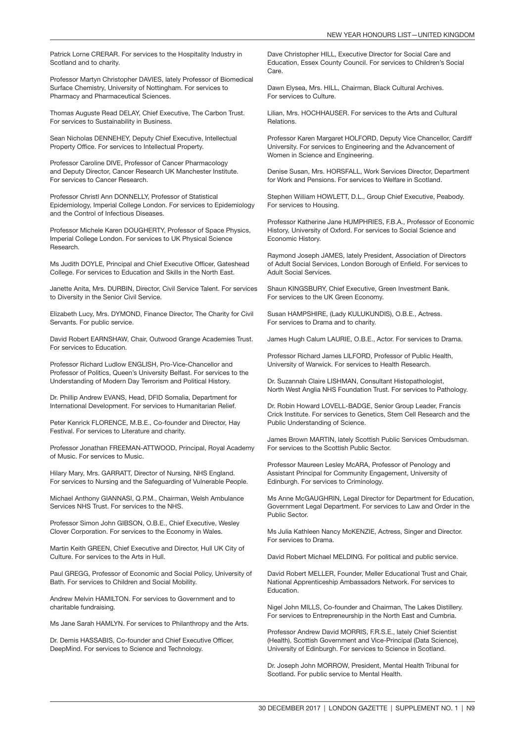Patrick Lorne CRERAR. For services to the Hospitality Industry in Scotland and to charity.

Professor Martyn Christopher DAVIES, lately Professor of Biomedical Surface Chemistry, University of Nottingham. For services to Pharmacy and Pharmaceutical Sciences.

Thomas Auguste Read DELAY, Chief Executive, The Carbon Trust. For services to Sustainability in Business.

Sean Nicholas DENNEHEY, Deputy Chief Executive, Intellectual Property Office. For services to Intellectual Property.

Professor Caroline DIVE, Professor of Cancer Pharmacology and Deputy Director, Cancer Research UK Manchester Institute. For services to Cancer Research.

Professor Christl Ann DONNELLY, Professor of Statistical Epidemiology, Imperial College London. For services to Epidemiology and the Control of Infectious Diseases.

Professor Michele Karen DOUGHERTY, Professor of Space Physics, Imperial College London. For services to UK Physical Science Research.

Ms Judith DOYLE, Principal and Chief Executive Officer, Gateshead College. For services to Education and Skills in the North East.

Janette Anita, Mrs. DURBIN, Director, Civil Service Talent. For services to Diversity in the Senior Civil Service.

Elizabeth Lucy, Mrs. DYMOND, Finance Director, The Charity for Civil Servants. For public service.

David Robert EARNSHAW, Chair, Outwood Grange Academies Trust. For services to Education.

Professor Richard Ludlow ENGLISH, Pro-Vice-Chancellor and Professor of Politics, Queen's University Belfast. For services to the Understanding of Modern Day Terrorism and Political History.

Dr. Phillip Andrew EVANS, Head, DFID Somalia, Department for International Development. For services to Humanitarian Relief.

Peter Kenrick FLORENCE, M.B.E., Co-founder and Director, Hay Festival. For services to Literature and charity.

Professor Jonathan FREEMAN-ATTWOOD, Principal, Royal Academy of Music. For services to Music.

Hilary Mary, Mrs. GARRATT, Director of Nursing, NHS England. For services to Nursing and the Safeguarding of Vulnerable People.

Michael Anthony GIANNASI, Q.P.M., Chairman, Welsh Ambulance Services NHS Trust. For services to the NHS.

Professor Simon John GIBSON, O.B.E., Chief Executive, Wesley Clover Corporation. For services to the Economy in Wales.

Martin Keith GREEN, Chief Executive and Director, Hull UK City of Culture. For services to the Arts in Hull.

Paul GREGG, Professor of Economic and Social Policy, University of Bath. For services to Children and Social Mobility.

Andrew Melvin HAMILTON. For services to Government and to charitable fundraising.

Ms Jane Sarah HAMLYN. For services to Philanthropy and the Arts.

Dr. Demis HASSABIS, Co-founder and Chief Executive Officer, DeepMind. For services to Science and Technology.

Dave Christopher HILL, Executive Director for Social Care and Education, Essex County Council. For services to Children's Social Care.

Dawn Elysea, Mrs. HILL, Chairman, Black Cultural Archives. For services to Culture.

Lilian, Mrs. HOCHHAUSER. For services to the Arts and Cultural Relations.

Professor Karen Margaret HOLFORD, Deputy Vice Chancellor, Cardiff University. For services to Engineering and the Advancement of Women in Science and Engineering.

Denise Susan, Mrs. HORSFALL, Work Services Director, Department for Work and Pensions. For services to Welfare in Scotland.

Stephen William HOWLETT, D.L., Group Chief Executive, Peabody. For services to Housing.

Professor Katherine Jane HUMPHRIES, F.B.A., Professor of Economic History, University of Oxford. For services to Social Science and Economic History.

Raymond Joseph JAMES, lately President, Association of Directors of Adult Social Services, London Borough of Enfield. For services to Adult Social Services.

Shaun KINGSBURY, Chief Executive, Green Investment Bank. For services to the UK Green Economy.

Susan HAMPSHIRE, (Lady KULUKUNDIS), O.B.E., Actress. For services to Drama and to charity.

James Hugh Calum LAURIE, O.B.E., Actor. For services to Drama.

Professor Richard James LILFORD, Professor of Public Health, University of Warwick. For services to Health Research.

Dr. Suzannah Claire LISHMAN, Consultant Histopathologist, North West Anglia NHS Foundation Trust. For services to Pathology.

Dr. Robin Howard LOVELL-BADGE, Senior Group Leader, Francis Crick Institute. For services to Genetics, Stem Cell Research and the Public Understanding of Science.

James Brown MARTIN, lately Scottish Public Services Ombudsman. For services to the Scottish Public Sector.

Professor Maureen Lesley McARA, Professor of Penology and Assistant Principal for Community Engagement, University of Edinburgh. For services to Criminology.

Ms Anne McGAUGHRIN, Legal Director for Department for Education, Government Legal Department. For services to Law and Order in the Public Sector.

Ms Julia Kathleen Nancy McKENZIE, Actress, Singer and Director. For services to Drama.

David Robert Michael MELDING. For political and public service.

David Robert MELLER, Founder, Meller Educational Trust and Chair, National Apprenticeship Ambassadors Network. For services to Education.

Nigel John MILLS, Co-founder and Chairman, The Lakes Distillery. For services to Entrepreneurship in the North East and Cumbria.

Professor Andrew David MORRIS, F.R.S.E., lately Chief Scientist (Health), Scottish Government and Vice-Principal (Data Science), University of Edinburgh. For services to Science in Scotland.

Dr. Joseph John MORROW, President, Mental Health Tribunal for Scotland. For public service to Mental Health.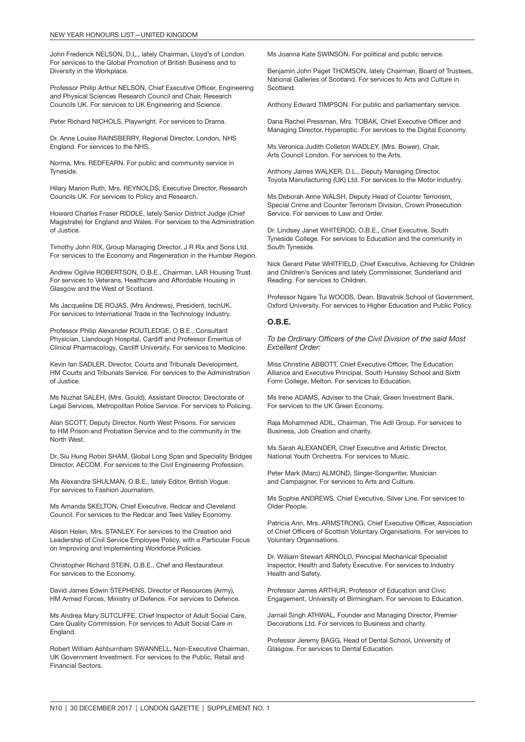John Frederick NELSON, D.L., lately Chairman, Lloyd's of London. For services to the Global Promotion of British Business and to Diversity in the Workplace.

Professor Philip Arthur NELSON, Chief Executive Officer, Engineering and Physical Sciences Research Council and Chair, Research Councils UK. For services to UK Engineering and Science.

Peter Richard NICHOLS, Playwright. For services to Drama.

Dr. Anne Louise RAINSBERRY, Regional Director, London, NHS England. For services to the NHS.

Norma, Mrs. REDFEARN. For public and community service in Tyneside.

Hilary Marion Ruth, Mrs. REYNOLDS, Executive Director, Research Councils UK. For services to Policy and Research.

Howard Charles Fraser RIDDLE, lately Senior District Judge (Chief Magistrate) for England and Wales. For services to the Administration of Justice.

Timothy John RIX, Group Managing Director, J R Rix and Sons Ltd. For services to the Economy and Regeneration in the Humber Region.

Andrew Ogilvie ROBERTSON, O.B.E., Chairman, LAR Housing Trust. For services to Veterans, Healthcare and Affordable Housing in Glasgow and the West of Scotland.

Ms Jacqueline DE ROJAS, (Mrs Andrews), President, techUK. For services to International Trade in the Technology Industry.

Professor Philip Alexander ROUTLEDGE, O.B.E., Consultant Physician, Llandough Hospital, Cardiff and Professor Emeritus of Clinical Pharmacology, Cardiff University. For services to Medicine.

Kevin Ian SADLER, Director, Courts and Tribunals Development, HM Courts and Tribunals Service. For services to the Administration of Justice.

Ms Nuzhat SALEH, (Mrs. Gould), Assistant Director, Directorate of Legal Services, Metropolitan Police Service. For services to Policing.

Alan SCOTT, Deputy Director, North West Prisons. For services to HM Prison and Probation Service and to the community in the North West.

Dr. Siu Hung Robin SHAM, Global Long Span and Speciality Bridges Director, AECOM. For services to the Civil Engineering Profession.

Ms Alexandra SHULMAN, O.B.E., lately Editor, British Vogue. For services to Fashion Journalism.

Ms Amanda SKELTON, Chief Executive, Redcar and Cleveland Council. For services to the Redcar and Tees Valley Economy.

Alison Helen, Mrs. STANLEY. For services to the Creation and Leadership of Civil Service Employee Policy, with a Particular Focus on Improving and Implementing Workforce Policies.

Christopher Richard STEIN, O.B.E., Chef and Restaurateur. For services to the Economy.

David James Edwin STEPHENS, Director of Resources (Army), HM Armed Forces, Ministry of Defence. For services to Defence.

Ms Andrea Mary SUTCLIFFE, Chief Inspector of Adult Social Care, Care Quality Commission. For services to Adult Social Care in England.

Robert William Ashburnham SWANNELL, Non-Executive Chairman, UK Government Investment. For services to the Public, Retail and Financial Sectors.

Ms Joanna Kate SWINSON. For political and public service.

Benjamin John Paget THOMSON, lately Chairman, Board of Trustees, National Galleries of Scotland. For services to Arts and Culture in Scotland.

Anthony Edward TIMPSON. For public and parliamentary service.

Dana Rachel Pressman, Mrs. TOBAK, Chief Executive Officer and Managing Director, Hyperoptic. For services to the Digital Economy.

Ms Veronica Judith Colleton WADLEY, (Mrs. Bower), Chair, Arts Council London. For services to the Arts.

Anthony James WALKER, D.L., Deputy Managing Director, Toyota Manufacturing (UK) Ltd. For services to the Motor Industry.

Ms Deborah Anne WALSH, Deputy Head of Counter Terrorism, Special Crime and Counter Terrorism Division, Crown Prosecution Service. For services to Law and Order.

Dr. Lindsey Janet WHITEROD, O.B.E., Chief Executive, South Tyneside College. For services to Education and the community in South Tyneside.

Nick Gerard Peter WHITFIELD, Chief Executive, Achieving for Children and Children's Services and lately Commissioner, Sunderland and Reading. For services to Children.

Professor Ngaire Tui WOODS, Dean, Blavatnik School of Government, Oxford University. For services to Higher Education and Public Policy.

#### O.B.E.

*To be Ordinary Officers of the Civil Division of the said Most Excellent Order:*

Miss Christine ABBOTT, Chief Executive Officer, The Education Alliance and Executive Principal, South Hunsley School and Sixth Form College, Melton. For services to Education.

Ms Irene ADAMS, Adviser to the Chair, Green Investment Bank. For services to the UK Green Economy.

Raja Mohammed ADIL, Chairman, The Adil Group. For services to Business, Job Creation and charity.

Ms Sarah ALEXANDER, Chief Executive and Artistic Director, National Youth Orchestra. For services to Music.

Peter Mark (Marc) ALMOND, Singer-Songwriter, Musician and Campaigner. For services to Arts and Culture.

Ms Sophie ANDREWS, Chief Executive, Silver Line. For services to Older People.

Patricia Ann, Mrs. ARMSTRONG, Chief Executive Officer, Association of Chief Officers of Scottish Voluntary Organisations. For services to Voluntary Organisations.

Dr. William Stewart ARNOLD, Principal Mechanical Specialist Inspector, Health and Safety Executive. For services to Industry Health and Safety.

Professor James ARTHUR, Professor of Education and Civic Engagement, University of Birmingham. For services to Education.

Jarnail Singh ATHWAL, Founder and Managing Director, Premier Decorations Ltd. For services to Business and charity.

Professor Jeremy BAGG, Head of Dental School, University of Glasgow. For services to Dental Education.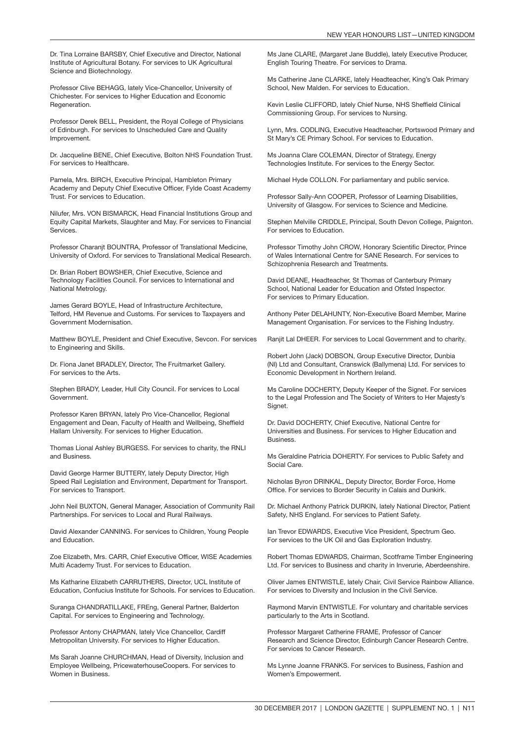Dr. Tina Lorraine BARSBY, Chief Executive and Director, National Institute of Agricultural Botany. For services to UK Agricultural Science and Biotechnology.

Professor Clive BEHAGG, lately Vice-Chancellor, University of Chichester. For services to Higher Education and Economic **Regeneration** 

Professor Derek BELL, President, the Royal College of Physicians of Edinburgh. For services to Unscheduled Care and Quality Improvement.

Dr. Jacqueline BENE, Chief Executive, Bolton NHS Foundation Trust. For services to Healthcare.

Pamela, Mrs. BIRCH, Executive Principal, Hambleton Primary Academy and Deputy Chief Executive Officer, Fylde Coast Academy Trust. For services to Education.

Nilufer, Mrs. VON BISMARCK, Head Financial Institutions Group and Equity Capital Markets, Slaughter and May. For services to Financial **Services** 

Professor Charanjt BOUNTRA, Professor of Translational Medicine, University of Oxford. For services to Translational Medical Research.

Dr. Brian Robert BOWSHER, Chief Executive, Science and Technology Facilities Council. For services to International and National Metrology.

James Gerard BOYLE, Head of Infrastructure Architecture, Telford, HM Revenue and Customs. For services to Taxpayers and Government Modernisation.

Matthew BOYLE, President and Chief Executive, Sevcon. For services to Engineering and Skills.

Dr. Fiona Janet BRADLEY, Director, The Fruitmarket Gallery. For services to the Arts.

Stephen BRADY, Leader, Hull City Council. For services to Local Government.

Professor Karen BRYAN, lately Pro Vice-Chancellor, Regional Engagement and Dean, Faculty of Health and Wellbeing, Sheffield Hallam University. For services to Higher Education.

Thomas Lional Ashley BURGESS. For services to charity, the RNLI and Business.

David George Harmer BUTTERY, lately Deputy Director, High Speed Rail Legislation and Environment, Department for Transport. For services to Transport.

John Neil BUXTON, General Manager, Association of Community Rail Partnerships. For services to Local and Rural Railways.

David Alexander CANNING. For services to Children, Young People and Education.

Zoe Elizabeth, Mrs. CARR, Chief Executive Officer, WISE Academies Multi Academy Trust. For services to Education.

Ms Katharine Elizabeth CARRUTHERS, Director, UCL Institute of Education, Confucius Institute for Schools. For services to Education.

Suranga CHANDRATILLAKE, FREng, General Partner, Balderton Capital. For services to Engineering and Technology.

Professor Antony CHAPMAN, lately Vice Chancellor, Cardiff Metropolitan University. For services to Higher Education.

Ms Sarah Joanne CHURCHMAN, Head of Diversity, Inclusion and Employee Wellbeing, PricewaterhouseCoopers. For services to Women in Business.

Ms Jane CLARE, (Margaret Jane Buddle), lately Executive Producer, English Touring Theatre. For services to Drama.

Ms Catherine Jane CLARKE, lately Headteacher, King's Oak Primary School, New Malden. For services to Education.

Kevin Leslie CLIFFORD, lately Chief Nurse, NHS Sheffield Clinical Commissioning Group. For services to Nursing.

Lynn, Mrs. CODLING, Executive Headteacher, Portswood Primary and St Mary's CE Primary School. For services to Education.

Ms Joanna Clare COLEMAN, Director of Strategy, Energy Technologies Institute. For services to the Energy Sector.

Michael Hyde COLLON. For parliamentary and public service.

Professor Sally-Ann COOPER, Professor of Learning Disabilities, University of Glasgow. For services to Science and Medicine.

Stephen Melville CRIDDLE, Principal, South Devon College, Paignton. For services to Education.

Professor Timothy John CROW, Honorary Scientific Director, Prince of Wales International Centre for SANE Research. For services to Schizophrenia Research and Treatments.

David DEANE, Headteacher, St Thomas of Canterbury Primary School, National Leader for Education and Ofsted Inspector. For services to Primary Education.

Anthony Peter DELAHUNTY, Non-Executive Board Member, Marine Management Organisation. For services to the Fishing Industry.

Ranjit Lal DHEER. For services to Local Government and to charity.

Robert John (Jack) DOBSON, Group Executive Director, Dunbia (NI) Ltd and Consultant, Cranswick (Ballymena) Ltd. For services to Economic Development in Northern Ireland.

Ms Caroline DOCHERTY, Deputy Keeper of the Signet. For services to the Legal Profession and The Society of Writers to Her Majesty's Signet.

Dr. David DOCHERTY, Chief Executive, National Centre for Universities and Business. For services to Higher Education and Business.

Ms Geraldine Patricia DOHERTY. For services to Public Safety and Social Care.

Nicholas Byron DRINKAL, Deputy Director, Border Force, Home Office. For services to Border Security in Calais and Dunkirk.

Dr. Michael Anthony Patrick DURKIN, lately National Director, Patient Safety, NHS England. For services to Patient Safety.

Ian Trevor EDWARDS, Executive Vice President, Spectrum Geo. For services to the UK Oil and Gas Exploration Industry.

Robert Thomas EDWARDS, Chairman, Scotframe Timber Engineering Ltd. For services to Business and charity in Inverurie, Aberdeenshire.

Oliver James ENTWISTLE, lately Chair, Civil Service Rainbow Alliance. For services to Diversity and Inclusion in the Civil Service.

Raymond Marvin ENTWISTLE. For voluntary and charitable services particularly to the Arts in Scotland.

Professor Margaret Catherine FRAME, Professor of Cancer Research and Science Director, Edinburgh Cancer Research Centre. For services to Cancer Research.

Ms Lynne Joanne FRANKS. For services to Business, Fashion and Women's Empowerment.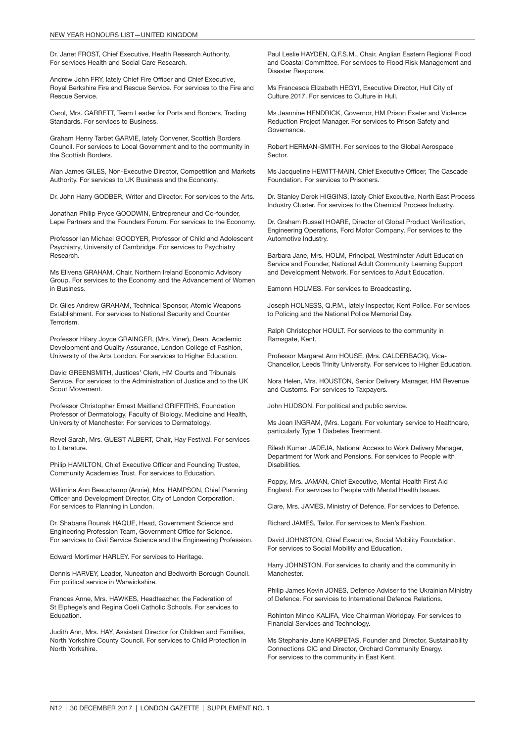Dr. Janet FROST, Chief Executive, Health Research Authority. For services Health and Social Care Research.

Andrew John FRY, lately Chief Fire Officer and Chief Executive, Royal Berkshire Fire and Rescue Service. For services to the Fire and Rescue Service.

Carol, Mrs. GARRETT, Team Leader for Ports and Borders, Trading Standards. For services to Business.

Graham Henry Tarbet GARVIE, lately Convener, Scottish Borders Council. For services to Local Government and to the community in the Scottish Borders.

Alan James GILES, Non-Executive Director, Competition and Markets Authority. For services to UK Business and the Economy.

Dr. John Harry GODBER, Writer and Director. For services to the Arts.

Jonathan Philip Pryce GOODWIN, Entrepreneur and Co-founder, Lepe Partners and the Founders Forum. For services to the Economy.

Professor Ian Michael GOODYER, Professor of Child and Adolescent Psychiatry, University of Cambridge. For services to Psychiatry Research.

Ms Ellvena GRAHAM, Chair, Northern Ireland Economic Advisory Group. For services to the Economy and the Advancement of Women in Business.

Dr. Giles Andrew GRAHAM, Technical Sponsor, Atomic Weapons Establishment. For services to National Security and Counter Terrorism.

Professor Hilary Joyce GRAINGER, (Mrs. Viner), Dean, Academic Development and Quality Assurance, London College of Fashion, University of the Arts London. For services to Higher Education.

David GREENSMITH, Justices' Clerk, HM Courts and Tribunals Service. For services to the Administration of Justice and to the UK Scout Movement.

Professor Christopher Ernest Maitland GRIFFITHS, Foundation Professor of Dermatology, Faculty of Biology, Medicine and Health, University of Manchester. For services to Dermatology.

Revel Sarah, Mrs. GUEST ALBERT, Chair, Hay Festival. For services to Literature.

Philip HAMILTON, Chief Executive Officer and Founding Trustee, Community Academies Trust. For services to Education.

Willimina Ann Beauchamp (Annie), Mrs. HAMPSON, Chief Planning Officer and Development Director, City of London Corporation. For services to Planning in London.

Dr. Shabana Rounak HAQUE, Head, Government Science and Engineering Profession Team, Government Office for Science. For services to Civil Service Science and the Engineering Profession.

Edward Mortimer HARLEY. For services to Heritage.

Dennis HARVEY, Leader, Nuneaton and Bedworth Borough Council. For political service in Warwickshire.

Frances Anne, Mrs. HAWKES, Headteacher, the Federation of St Elphege's and Regina Coeli Catholic Schools. For services to Education.

Judith Ann, Mrs. HAY, Assistant Director for Children and Families, North Yorkshire County Council. For services to Child Protection in North Yorkshire.

Paul Leslie HAYDEN, Q.F.S.M., Chair, Anglian Eastern Regional Flood and Coastal Committee. For services to Flood Risk Management and Disaster Response.

Ms Francesca Elizabeth HEGYI, Executive Director, Hull City of Culture 2017. For services to Culture in Hull.

Ms Jeannine HENDRICK, Governor, HM Prison Exeter and Violence Reduction Project Manager. For services to Prison Safety and Governance.

Robert HERMAN-SMITH. For services to the Global Aerospace Sector.

Ms Jacqueline HEWITT-MAIN, Chief Executive Officer, The Cascade Foundation. For services to Prisoners.

Dr. Stanley Derek HIGGINS, lately Chief Executive, North East Process Industry Cluster. For services to the Chemical Process Industry.

Dr. Graham Russell HOARE, Director of Global Product Verification, Engineering Operations, Ford Motor Company. For services to the Automotive Industry.

Barbara Jane, Mrs. HOLM, Principal, Westminster Adult Education Service and Founder, National Adult Community Learning Support and Development Network. For services to Adult Education.

Eamonn HOLMES. For services to Broadcasting.

Joseph HOLNESS, Q.P.M., lately Inspector, Kent Police. For services to Policing and the National Police Memorial Day.

Ralph Christopher HOULT. For services to the community in Ramsgate, Kent.

Professor Margaret Ann HOUSE, (Mrs. CALDERBACK), Vice-Chancellor, Leeds Trinity University. For services to Higher Education.

Nora Helen, Mrs. HOUSTON, Senior Delivery Manager, HM Revenue and Customs. For services to Taxpayers.

John HUDSON. For political and public service.

Ms Joan INGRAM, (Mrs. Logan), For voluntary service to Healthcare, particularly Type 1 Diabetes Treatment.

Rilesh Kumar JADEJA, National Access to Work Delivery Manager, Department for Work and Pensions. For services to People with Disabilities.

Poppy, Mrs. JAMAN, Chief Executive, Mental Health First Aid England. For services to People with Mental Health Issues.

Clare, Mrs. JAMES, Ministry of Defence. For services to Defence.

Richard JAMES, Tailor. For services to Men's Fashion.

David JOHNSTON, Chief Executive, Social Mobility Foundation. For services to Social Mobility and Education.

Harry JOHNSTON. For services to charity and the community in Manchester.

Philip James Kevin JONES, Defence Adviser to the Ukrainian Ministry of Defence. For services to International Defence Relations.

Rohinton Minoo KALIFA, Vice Chairman Worldpay. For services to Financial Services and Technology.

Ms Stephanie Jane KARPETAS, Founder and Director, Sustainability Connections CIC and Director, Orchard Community Energy. For services to the community in East Kent.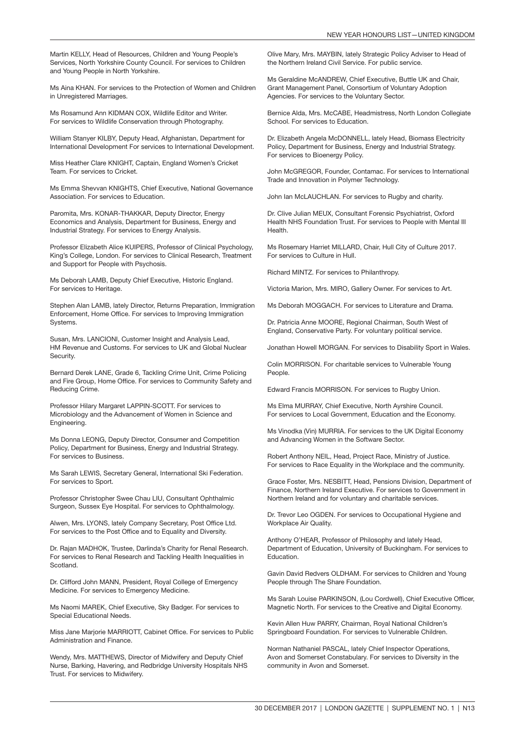Martin KELLY, Head of Resources, Children and Young People's Services, North Yorkshire County Council. For services to Children and Young People in North Yorkshire.

Ms Aina KHAN. For services to the Protection of Women and Children in Unregistered Marriages.

Ms Rosamund Ann KIDMAN COX, Wildlife Editor and Writer. For services to Wildlife Conservation through Photography.

William Stanyer KILBY, Deputy Head, Afghanistan, Department for International Development For services to International Development.

Miss Heather Clare KNIGHT, Captain, England Women's Cricket Team. For services to Cricket.

Ms Emma Shevvan KNIGHTS, Chief Executive, National Governance Association. For services to Education.

Paromita, Mrs. KONAR-THAKKAR, Deputy Director, Energy Economics and Analysis, Department for Business, Energy and Industrial Strategy. For services to Energy Analysis.

Professor Elizabeth Alice KUIPERS, Professor of Clinical Psychology, King's College, London. For services to Clinical Research, Treatment and Support for People with Psychosis.

Ms Deborah LAMB, Deputy Chief Executive, Historic England. For services to Heritage.

Stephen Alan LAMB, lately Director, Returns Preparation, Immigration Enforcement, Home Office. For services to Improving Immigration Systems.

Susan, Mrs. LANCIONI, Customer Insight and Analysis Lead, HM Revenue and Customs. For services to UK and Global Nuclear Security.

Bernard Derek LANE, Grade 6, Tackling Crime Unit, Crime Policing and Fire Group, Home Office. For services to Community Safety and Reducing Crime.

Professor Hilary Margaret LAPPIN-SCOTT. For services to Microbiology and the Advancement of Women in Science and Engineering.

Ms Donna LEONG, Deputy Director, Consumer and Competition Policy, Department for Business, Energy and Industrial Strategy. For services to Business.

Ms Sarah LEWIS, Secretary General, International Ski Federation. For services to Sport.

Professor Christopher Swee Chau LIU, Consultant Ophthalmic Surgeon, Sussex Eye Hospital. For services to Ophthalmology.

Alwen, Mrs. LYONS, lately Company Secretary, Post Office Ltd. For services to the Post Office and to Equality and Diversity.

Dr. Rajan MADHOK, Trustee, Darlinda's Charity for Renal Research. For services to Renal Research and Tackling Health Inequalities in Scotland.

Dr. Clifford John MANN, President, Royal College of Emergency Medicine. For services to Emergency Medicine.

Ms Naomi MAREK, Chief Executive, Sky Badger. For services to Special Educational Needs.

Miss Jane Marjorie MARRIOTT, Cabinet Office. For services to Public Administration and Finance.

Wendy, Mrs. MATTHEWS, Director of Midwifery and Deputy Chief Nurse, Barking, Havering, and Redbridge University Hospitals NHS Trust. For services to Midwifery.

Olive Mary, Mrs. MAYBIN, lately Strategic Policy Adviser to Head of the Northern Ireland Civil Service. For public service.

Ms Geraldine McANDREW, Chief Executive, Buttle UK and Chair, Grant Management Panel, Consortium of Voluntary Adoption Agencies. For services to the Voluntary Sector.

Bernice Alda, Mrs. McCABE, Headmistress, North London Collegiate School. For services to Education.

Dr. Elizabeth Angela McDONNELL, lately Head, Biomass Electricity Policy, Department for Business, Energy and Industrial Strategy. For services to Bioenergy Policy.

John McGREGOR, Founder, Contamac. For services to International Trade and Innovation in Polymer Technology.

John Ian McLAUCHLAN. For services to Rugby and charity.

Dr. Clive Julian MEUX, Consultant Forensic Psychiatrist, Oxford Health NHS Foundation Trust. For services to People with Mental Ill Health.

Ms Rosemary Harriet MILLARD, Chair, Hull City of Culture 2017. For services to Culture in Hull.

Richard MINTZ. For services to Philanthropy.

Victoria Marion, Mrs. MIRO, Gallery Owner. For services to Art.

Ms Deborah MOGGACH. For services to Literature and Drama.

Dr. Patricia Anne MOORE, Regional Chairman, South West of England, Conservative Party. For voluntary political service.

Jonathan Howell MORGAN. For services to Disability Sport in Wales.

Colin MORRISON. For charitable services to Vulnerable Young People.

Edward Francis MORRISON. For services to Rugby Union.

Ms Elma MURRAY, Chief Executive, North Ayrshire Council. For services to Local Government, Education and the Economy.

Ms Vinodka (Vin) MURRIA. For services to the UK Digital Economy and Advancing Women in the Software Sector.

Robert Anthony NEIL, Head, Project Race, Ministry of Justice. For services to Race Equality in the Workplace and the community.

Grace Foster, Mrs. NESBITT, Head, Pensions Division, Department of Finance, Northern Ireland Executive. For services to Government in Northern Ireland and for voluntary and charitable services.

Dr. Trevor Leo OGDEN. For services to Occupational Hygiene and Workplace Air Quality.

Anthony O'HEAR, Professor of Philosophy and lately Head, Department of Education, University of Buckingham. For services to Education.

Gavin David Redvers OLDHAM. For services to Children and Young People through The Share Foundation.

Ms Sarah Louise PARKINSON, (Lou Cordwell), Chief Executive Officer, Magnetic North. For services to the Creative and Digital Economy.

Kevin Allen Huw PARRY, Chairman, Royal National Children's Springboard Foundation. For services to Vulnerable Children.

Norman Nathaniel PASCAL, lately Chief Inspector Operations, Avon and Somerset Constabulary. For services to Diversity in the community in Avon and Somerset.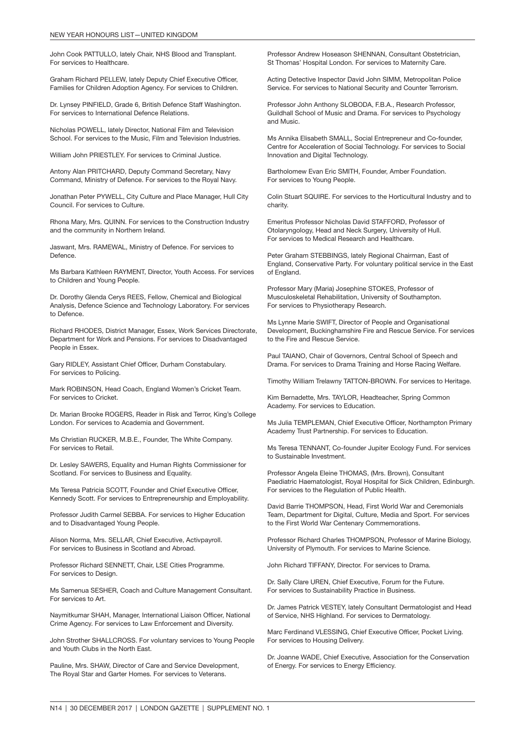John Cook PATTULLO, lately Chair, NHS Blood and Transplant. For services to Healthcare.

Graham Richard PELLEW, lately Deputy Chief Executive Officer, Families for Children Adoption Agency. For services to Children.

Dr. Lynsey PINFIELD, Grade 6, British Defence Staff Washington. For services to International Defence Relations.

Nicholas POWELL, lately Director, National Film and Television School. For services to the Music, Film and Television Industries.

William John PRIESTLEY. For services to Criminal Justice.

Antony Alan PRITCHARD, Deputy Command Secretary, Navy Command, Ministry of Defence. For services to the Royal Navy.

Jonathan Peter PYWELL, City Culture and Place Manager, Hull City Council. For services to Culture.

Rhona Mary, Mrs. QUINN. For services to the Construction Industry and the community in Northern Ireland.

Jaswant, Mrs. RAMEWAL, Ministry of Defence. For services to Defence.

Ms Barbara Kathleen RAYMENT, Director, Youth Access. For services to Children and Young People.

Dr. Dorothy Glenda Cerys REES, Fellow, Chemical and Biological Analysis, Defence Science and Technology Laboratory. For services to Defence.

Richard RHODES, District Manager, Essex, Work Services Directorate, Department for Work and Pensions. For services to Disadvantaged People in Essex.

Gary RIDLEY, Assistant Chief Officer, Durham Constabulary. For services to Policing.

Mark ROBINSON, Head Coach, England Women's Cricket Team. For services to Cricket.

Dr. Marian Brooke ROGERS, Reader in Risk and Terror, King's College London. For services to Academia and Government.

Ms Christian RUCKER, M.B.E., Founder, The White Company. For services to Retail.

Dr. Lesley SAWERS, Equality and Human Rights Commissioner for Scotland. For services to Business and Equality.

Ms Teresa Patricia SCOTT, Founder and Chief Executive Officer, Kennedy Scott. For services to Entrepreneurship and Employability.

Professor Judith Carmel SEBBA. For services to Higher Education and to Disadvantaged Young People.

Alison Norma, Mrs. SELLAR, Chief Executive, Activpayroll. For services to Business in Scotland and Abroad.

Professor Richard SENNETT, Chair, LSE Cities Programme. For services to Design.

Ms Samenua SESHER, Coach and Culture Management Consultant. For services to Art.

Naymitkumar SHAH, Manager, International Liaison Officer, National Crime Agency. For services to Law Enforcement and Diversity.

John Strother SHALLCROSS. For voluntary services to Young People and Youth Clubs in the North East.

Pauline, Mrs. SHAW, Director of Care and Service Development, The Royal Star and Garter Homes. For services to Veterans.

Professor Andrew Hoseason SHENNAN, Consultant Obstetrician, St Thomas' Hospital London. For services to Maternity Care.

Acting Detective Inspector David John SIMM, Metropolitan Police Service. For services to National Security and Counter Terrorism.

Professor John Anthony SLOBODA, F.B.A., Research Professor, Guildhall School of Music and Drama. For services to Psychology and Music.

Ms Annika Elisabeth SMALL, Social Entrepreneur and Co-founder, Centre for Acceleration of Social Technology. For services to Social Innovation and Digital Technology.

Bartholomew Evan Eric SMITH, Founder, Amber Foundation. For services to Young People.

Colin Stuart SQUIRE. For services to the Horticultural Industry and to charity.

Emeritus Professor Nicholas David STAFFORD, Professor of Otolaryngology, Head and Neck Surgery, University of Hull. For services to Medical Research and Healthcare.

Peter Graham STEBBINGS, lately Regional Chairman, East of England, Conservative Party. For voluntary political service in the East of England.

Professor Mary (Maria) Josephine STOKES, Professor of Musculoskeletal Rehabilitation, University of Southampton. For services to Physiotherapy Research.

Ms Lynne Marie SWIFT, Director of People and Organisational Development, Buckinghamshire Fire and Rescue Service. For services to the Fire and Rescue Service.

Paul TAIANO, Chair of Governors, Central School of Speech and Drama. For services to Drama Training and Horse Racing Welfare.

Timothy William Trelawny TATTON-BROWN. For services to Heritage.

Kim Bernadette, Mrs. TAYLOR, Headteacher, Spring Common Academy. For services to Education.

Ms Julia TEMPLEMAN, Chief Executive Officer, Northampton Primary Academy Trust Partnership. For services to Education.

Ms Teresa TENNANT, Co-founder Jupiter Ecology Fund. For services to Sustainable Investment.

Professor Angela Eleine THOMAS, (Mrs. Brown), Consultant Paediatric Haematologist, Royal Hospital for Sick Children, Edinburgh. For services to the Regulation of Public Health.

David Barrie THOMPSON, Head, First World War and Ceremonials Team, Department for Digital, Culture, Media and Sport. For services to the First World War Centenary Commemorations.

Professor Richard Charles THOMPSON, Professor of Marine Biology, University of Plymouth. For services to Marine Science.

John Richard TIFFANY, Director. For services to Drama.

Dr. Sally Clare UREN, Chief Executive, Forum for the Future. For services to Sustainability Practice in Business.

Dr. James Patrick VESTEY, lately Consultant Dermatologist and Head of Service, NHS Highland. For services to Dermatology.

Marc Ferdinand VLESSING, Chief Executive Officer, Pocket Living. For services to Housing Delivery.

Dr. Joanne WADE, Chief Executive, Association for the Conservation of Energy. For services to Energy Efficiency.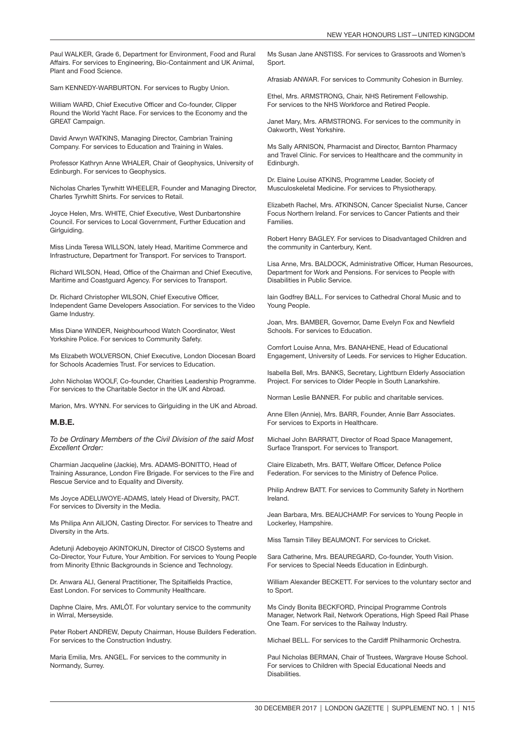Paul WALKER, Grade 6, Department for Environment, Food and Rural Affairs. For services to Engineering, Bio-Containment and UK Animal, Plant and Food Science.

Sam KENNEDY-WARBURTON. For services to Rugby Union.

William WARD, Chief Executive Officer and Co-founder, Clipper Round the World Yacht Race. For services to the Economy and the GREAT Campaign.

David Arwyn WATKINS, Managing Director, Cambrian Training Company. For services to Education and Training in Wales.

Professor Kathryn Anne WHALER, Chair of Geophysics, University of Edinburgh. For services to Geophysics.

Nicholas Charles Tyrwhitt WHEELER, Founder and Managing Director, Charles Tyrwhitt Shirts. For services to Retail.

Joyce Helen, Mrs. WHITE, Chief Executive, West Dunbartonshire Council. For services to Local Government, Further Education and Girlguiding.

Miss Linda Teresa WILLSON, lately Head, Maritime Commerce and Infrastructure, Department for Transport. For services to Transport.

Richard WILSON, Head, Office of the Chairman and Chief Executive, Maritime and Coastguard Agency. For services to Transport.

Dr. Richard Christopher WILSON, Chief Executive Officer, Independent Game Developers Association. For services to the Video Game Industry.

Miss Diane WINDER, Neighbourhood Watch Coordinator, West Yorkshire Police. For services to Community Safety.

Ms Elizabeth WOLVERSON, Chief Executive, London Diocesan Board for Schools Academies Trust. For services to Education.

John Nicholas WOOLF, Co-founder, Charities Leadership Programme. For services to the Charitable Sector in the UK and Abroad.

Marion, Mrs. WYNN. For services to Girlguiding in the UK and Abroad.

#### M.B.E.

*To be Ordinary Members of the Civil Division of the said Most Excellent Order:*

Charmian Jacqueline (Jackie), Mrs. ADAMS-BONITTO, Head of Training Assurance, London Fire Brigade. For services to the Fire and Rescue Service and to Equality and Diversity.

Ms Joyce ADELUWOYE-ADAMS, lately Head of Diversity, PACT. For services to Diversity in the Media.

Ms Philipa Ann AILION, Casting Director. For services to Theatre and Diversity in the Arts.

Adetunji Adeboyejo AKINTOKUN, Director of CISCO Systems and Co-Director, Your Future, Your Ambition. For services to Young People from Minority Ethnic Backgrounds in Science and Technology.

Dr. Anwara ALI, General Practitioner, The Spitalfields Practice, East London. For services to Community Healthcare.

Daphne Claire, Mrs. AMLÔT. For voluntary service to the community in Wirral, Merseyside.

Peter Robert ANDREW, Deputy Chairman, House Builders Federation. For services to the Construction Industry.

Maria Emilia, Mrs. ANGEL. For services to the community in Normandy, Surrey.

Ms Susan Jane ANSTISS. For services to Grassroots and Women's Sport.

Afrasiab ANWAR. For services to Community Cohesion in Burnley.

Ethel, Mrs. ARMSTRONG, Chair, NHS Retirement Fellowship. For services to the NHS Workforce and Retired People.

Janet Mary, Mrs. ARMSTRONG. For services to the community in Oakworth, West Yorkshire.

Ms Sally ARNISON, Pharmacist and Director, Barnton Pharmacy and Travel Clinic. For services to Healthcare and the community in Edinburgh.

Dr. Elaine Louise ATKINS, Programme Leader, Society of Musculoskeletal Medicine. For services to Physiotherapy.

Elizabeth Rachel, Mrs. ATKINSON, Cancer Specialist Nurse, Cancer Focus Northern Ireland. For services to Cancer Patients and their Families.

Robert Henry BAGLEY. For services to Disadvantaged Children and the community in Canterbury, Kent.

Lisa Anne, Mrs. BALDOCK, Administrative Officer, Human Resources, Department for Work and Pensions. For services to People with Disabilities in Public Service.

Iain Godfrey BALL. For services to Cathedral Choral Music and to Young People.

Joan, Mrs. BAMBER, Governor, Dame Evelyn Fox and Newfield Schools. For services to Education.

Comfort Louise Anna, Mrs. BANAHENE, Head of Educational Engagement, University of Leeds. For services to Higher Education.

Isabella Bell, Mrs. BANKS, Secretary, Lightburn Elderly Association Project. For services to Older People in South Lanarkshire.

Norman Leslie BANNER. For public and charitable services.

Anne Ellen (Annie), Mrs. BARR, Founder, Annie Barr Associates. For services to Exports in Healthcare.

Michael John BARRATT, Director of Road Space Management, Surface Transport. For services to Transport.

Claire Elizabeth, Mrs. BATT, Welfare Officer, Defence Police Federation. For services to the Ministry of Defence Police.

Philip Andrew BATT. For services to Community Safety in Northern Ireland.

Jean Barbara, Mrs. BEAUCHAMP. For services to Young People in Lockerley, Hampshire.

Miss Tamsin Tilley BEAUMONT. For services to Cricket.

Sara Catherine, Mrs. BEAUREGARD, Co-founder, Youth Vision. For services to Special Needs Education in Edinburgh.

William Alexander BECKETT. For services to the voluntary sector and to Sport.

Ms Cindy Bonita BECKFORD, Principal Programme Controls Manager, Network Rail, Network Operations, High Speed Rail Phase One Team. For services to the Railway Industry.

Michael BELL. For services to the Cardiff Philharmonic Orchestra.

Paul Nicholas BERMAN, Chair of Trustees, Wargrave House School. For services to Children with Special Educational Needs and **Disabilities**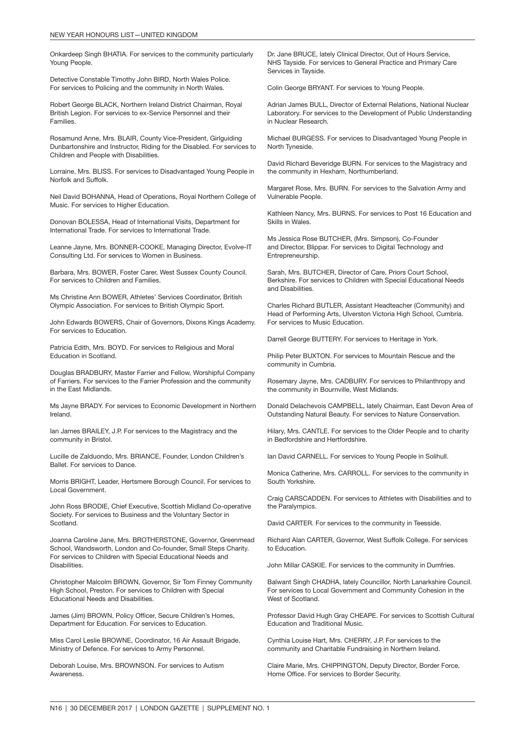Onkardeep Singh BHATIA. For services to the community particularly Young People.

Detective Constable Timothy John BIRD, North Wales Police. For services to Policing and the community in North Wales.

Robert George BLACK, Northern Ireland District Chairman, Royal British Legion. For services to ex-Service Personnel and their Families.

Rosamund Anne, Mrs. BLAIR, County Vice-President, Girlguiding Dunbartonshire and Instructor, Riding for the Disabled. For services to Children and People with Disabilities.

Lorraine, Mrs. BLISS. For services to Disadvantaged Young People in Norfolk and Suffolk.

Neil David BOHANNA, Head of Operations, Royal Northern College of Music. For services to Higher Education.

Donovan BOLESSA, Head of International Visits, Department for International Trade. For services to International Trade.

Leanne Jayne, Mrs. BONNER-COOKE, Managing Director, Evolve-IT Consulting Ltd. For services to Women in Business.

Barbara, Mrs. BOWER, Foster Carer, West Sussex County Council. For services to Children and Families.

Ms Christine Ann BOWER, Athletes' Services Coordinator, British Olympic Association. For services to British Olympic Sport.

John Edwards BOWERS, Chair of Governors, Dixons Kings Academy. For services to Education.

Patricia Edith, Mrs. BOYD. For services to Religious and Moral Education in Scotland.

Douglas BRADBURY, Master Farrier and Fellow, Worshipful Company of Farriers. For services to the Farrier Profession and the community in the East Midlands.

Ms Jayne BRADY. For services to Economic Development in Northern Ireland.

Ian James BRAILEY, J.P. For services to the Magistracy and the community in Bristol.

Lucille de Zalduondo, Mrs. BRIANCE, Founder, London Children's Ballet. For services to Dance.

Morris BRIGHT, Leader, Hertsmere Borough Council. For services to Local Government.

John Ross BRODIE, Chief Executive, Scottish Midland Co-operative Society. For services to Business and the Voluntary Sector in Scotland.

Joanna Caroline Jane, Mrs. BROTHERSTONE, Governor, Greenmead School, Wandsworth, London and Co-founder, Small Steps Charity. For services to Children with Special Educational Needs and Disabilities.

Christopher Malcolm BROWN, Governor, Sir Tom Finney Community High School, Preston. For services to Children with Special Educational Needs and Disabilities.

James (Jim) BROWN, Policy Officer, Secure Children's Homes, Department for Education. For services to Education.

Miss Carol Leslie BROWNE, Coordinator, 16 Air Assault Brigade, Ministry of Defence. For services to Army Personnel.

Deborah Louise, Mrs. BROWNSON. For services to Autism **Awareness** 

Dr. Jane BRUCE, lately Clinical Director, Out of Hours Service, NHS Tayside. For services to General Practice and Primary Care Services in Tayside.

Colin George BRYANT. For services to Young People.

Adrian James BULL, Director of External Relations, National Nuclear Laboratory. For services to the Development of Public Understanding in Nuclear Research.

Michael BURGESS. For services to Disadvantaged Young People in North Tyneside.

David Richard Beveridge BURN. For services to the Magistracy and the community in Hexham, Northumberland.

Margaret Rose, Mrs. BURN. For services to the Salvation Army and Vulnerable People.

Kathleen Nancy, Mrs. BURNS. For services to Post 16 Education and Skills in Wales.

Ms Jessica Rose BUTCHER, (Mrs. Simpson), Co-Founder and Director, Blippar. For services to Digital Technology and Entrepreneurship.

Sarah, Mrs. BUTCHER, Director of Care, Priors Court School, Berkshire. For services to Children with Special Educational Needs and Disabilities.

Charles Richard BUTLER, Assistant Headteacher (Community) and Head of Performing Arts, Ulverston Victoria High School, Cumbria. For services to Music Education.

Darrell George BUTTERY. For services to Heritage in York.

Philip Peter BUXTON. For services to Mountain Rescue and the community in Cumbria.

Rosemary Jayne, Mrs. CADBURY. For services to Philanthropy and the community in Bournville, West Midlands.

Donald Delachevois CAMPBELL, lately Chairman, East Devon Area of Outstanding Natural Beauty. For services to Nature Conservation.

Hilary, Mrs. CANTLE. For services to the Older People and to charity in Bedfordshire and Hertfordshire.

Ian David CARNELL. For services to Young People in Solihull.

Monica Catherine, Mrs. CARROLL. For services to the community in South Yorkshire.

Craig CARSCADDEN. For services to Athletes with Disabilities and to the Paralympics.

David CARTER. For services to the community in Teesside.

Richard Alan CARTER, Governor, West Suffolk College. For services to Education.

John Millar CASKIE. For services to the community in Dumfries.

Balwant Singh CHADHA, lately Councillor, North Lanarkshire Council. For services to Local Government and Community Cohesion in the West of Scotland.

Professor David Hugh Gray CHEAPE. For services to Scottish Cultural Education and Traditional Music.

Cynthia Louise Hart, Mrs. CHERRY, J.P. For services to the community and Charitable Fundraising in Northern Ireland.

Claire Marie, Mrs. CHIPPINGTON, Deputy Director, Border Force, Home Office. For services to Border Security.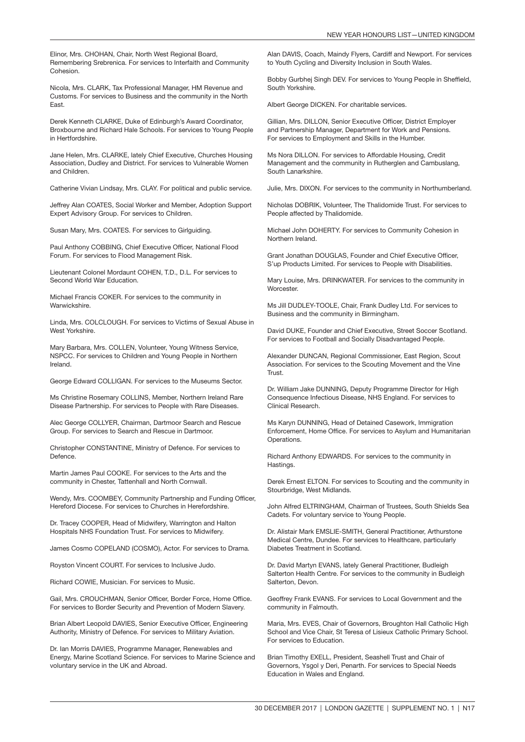Elinor, Mrs. CHOHAN, Chair, North West Regional Board, Remembering Srebrenica. For services to Interfaith and Community Cohesion.

Nicola, Mrs. CLARK, Tax Professional Manager, HM Revenue and Customs. For services to Business and the community in the North East.

Derek Kenneth CLARKE, Duke of Edinburgh's Award Coordinator, Broxbourne and Richard Hale Schools. For services to Young People in Hertfordshire.

Jane Helen, Mrs. CLARKE, lately Chief Executive, Churches Housing Association, Dudley and District. For services to Vulnerable Women and Children.

Catherine Vivian Lindsay, Mrs. CLAY. For political and public service.

Jeffrey Alan COATES, Social Worker and Member, Adoption Support Expert Advisory Group. For services to Children.

Susan Mary, Mrs. COATES. For services to Girlguiding.

Paul Anthony COBBING, Chief Executive Officer, National Flood Forum. For services to Flood Management Risk.

Lieutenant Colonel Mordaunt COHEN, T.D., D.L. For services to Second World War Education.

Michael Francis COKER. For services to the community in Warwickshire.

Linda, Mrs. COLCLOUGH. For services to Victims of Sexual Abuse in West Yorkshire.

Mary Barbara, Mrs. COLLEN, Volunteer, Young Witness Service, NSPCC. For services to Children and Young People in Northern Ireland.

George Edward COLLIGAN. For services to the Museums Sector.

Ms Christine Rosemary COLLINS, Member, Northern Ireland Rare Disease Partnership. For services to People with Rare Diseases.

Alec George COLLYER, Chairman, Dartmoor Search and Rescue Group. For services to Search and Rescue in Dartmoor.

Christopher CONSTANTINE, Ministry of Defence. For services to Defence.

Martin James Paul COOKE. For services to the Arts and the community in Chester, Tattenhall and North Cornwall.

Wendy, Mrs. COOMBEY, Community Partnership and Funding Officer, Hereford Diocese. For services to Churches in Herefordshire.

Dr. Tracey COOPER, Head of Midwifery, Warrington and Halton Hospitals NHS Foundation Trust. For services to Midwifery.

James Cosmo COPELAND (COSMO), Actor. For services to Drama.

Royston Vincent COURT. For services to Inclusive Judo.

Richard COWIE, Musician. For services to Music.

Gail, Mrs. CROUCHMAN, Senior Officer, Border Force, Home Office. For services to Border Security and Prevention of Modern Slavery.

Brian Albert Leopold DAVIES, Senior Executive Officer, Engineering Authority, Ministry of Defence. For services to Military Aviation.

Dr. Ian Morris DAVIES, Programme Manager, Renewables and Energy, Marine Scotland Science. For services to Marine Science and voluntary service in the UK and Abroad.

Alan DAVIS, Coach, Maindy Flyers, Cardiff and Newport. For services to Youth Cycling and Diversity Inclusion in South Wales.

Bobby Gurbhej Singh DEV. For services to Young People in Sheffield, South Yorkshire.

Albert George DICKEN. For charitable services.

Gillian, Mrs. DILLON, Senior Executive Officer, District Employer and Partnership Manager, Department for Work and Pensions. For services to Employment and Skills in the Humber.

Ms Nora DILLON. For services to Affordable Housing, Credit Management and the community in Rutherglen and Cambuslang, South Lanarkshire.

Julie, Mrs. DIXON. For services to the community in Northumberland.

Nicholas DOBRIK, Volunteer, The Thalidomide Trust. For services to People affected by Thalidomide.

Michael John DOHERTY. For services to Community Cohesion in Northern Ireland.

Grant Jonathan DOUGLAS, Founder and Chief Executive Officer, S'up Products Limited. For services to People with Disabilities.

Mary Louise, Mrs. DRINKWATER. For services to the community in Worcester.

Ms Jill DUDLEY-TOOLE, Chair, Frank Dudley Ltd. For services to Business and the community in Birmingham.

David DUKE, Founder and Chief Executive, Street Soccer Scotland. For services to Football and Socially Disadvantaged People.

Alexander DUNCAN, Regional Commissioner, East Region, Scout Association. For services to the Scouting Movement and the Vine Trust.

Dr. William Jake DUNNING, Deputy Programme Director for High Consequence Infectious Disease, NHS England. For services to Clinical Research.

Ms Karyn DUNNING, Head of Detained Casework, Immigration Enforcement, Home Office. For services to Asylum and Humanitarian **Operations** 

Richard Anthony EDWARDS. For services to the community in Hastings.

Derek Ernest ELTON. For services to Scouting and the community in Stourbridge, West Midlands.

John Alfred ELTRINGHAM, Chairman of Trustees, South Shields Sea Cadets. For voluntary service to Young People.

Dr. Alistair Mark EMSLIE-SMITH, General Practitioner, Arthurstone Medical Centre, Dundee. For services to Healthcare, particularly Diabetes Treatment in Scotland.

Dr. David Martyn EVANS, lately General Practitioner, Budleigh Salterton Health Centre. For services to the community in Budleigh Salterton, Devon.

Geoffrey Frank EVANS. For services to Local Government and the community in Falmouth.

Maria, Mrs. EVES, Chair of Governors, Broughton Hall Catholic High School and Vice Chair, St Teresa of Lisieux Catholic Primary School. For services to Education.

Brian Timothy EXELL, President, Seashell Trust and Chair of Governors, Ysgol y Deri, Penarth. For services to Special Needs Education in Wales and England.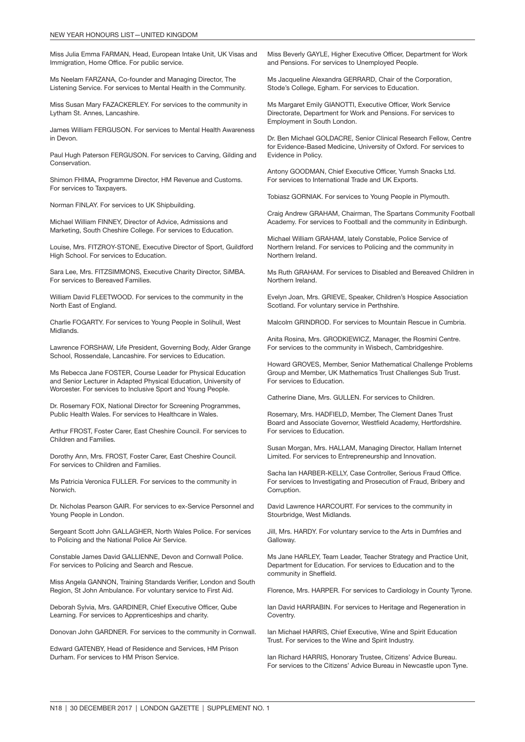Miss Julia Emma FARMAN, Head, European Intake Unit, UK Visas and Immigration, Home Office. For public service.

Ms Neelam FARZANA, Co-founder and Managing Director, The Listening Service. For services to Mental Health in the Community.

Miss Susan Mary FAZACKERLEY. For services to the community in Lytham St. Annes, Lancashire.

James William FERGUSON. For services to Mental Health Awareness in Devon.

Paul Hugh Paterson FERGUSON. For services to Carving, Gilding and Conservation.

Shimon FHIMA, Programme Director, HM Revenue and Customs. For services to Taxpayers.

Norman FINLAY. For services to UK Shipbuilding.

Michael William FINNEY, Director of Advice, Admissions and Marketing, South Cheshire College. For services to Education.

Louise, Mrs. FITZROY-STONE, Executive Director of Sport, Guildford High School. For services to Education.

Sara Lee, Mrs. FITZSIMMONS, Executive Charity Director, SiMBA. For services to Bereaved Families.

William David FLEETWOOD. For services to the community in the North East of England.

Charlie FOGARTY. For services to Young People in Solihull, West Midlands.

Lawrence FORSHAW, Life President, Governing Body, Alder Grange School, Rossendale, Lancashire. For services to Education.

Ms Rebecca Jane FOSTER, Course Leader for Physical Education and Senior Lecturer in Adapted Physical Education, University of Worcester. For services to Inclusive Sport and Young People.

Dr. Rosemary FOX, National Director for Screening Programmes, Public Health Wales. For services to Healthcare in Wales.

Arthur FROST, Foster Carer, East Cheshire Council. For services to Children and Families.

Dorothy Ann, Mrs. FROST, Foster Carer, East Cheshire Council. For services to Children and Families.

Ms Patricia Veronica FULLER. For services to the community in Norwich.

Dr. Nicholas Pearson GAIR. For services to ex-Service Personnel and Young People in London.

Sergeant Scott John GALLAGHER, North Wales Police. For services to Policing and the National Police Air Service.

Constable James David GALLIENNE, Devon and Cornwall Police. For services to Policing and Search and Rescue.

Miss Angela GANNON, Training Standards Verifier, London and South Region, St John Ambulance. For voluntary service to First Aid.

Deborah Sylvia, Mrs. GARDINER, Chief Executive Officer, Qube Learning. For services to Apprenticeships and charity.

Donovan John GARDNER. For services to the community in Cornwall.

Edward GATENBY, Head of Residence and Services, HM Prison Durham. For services to HM Prison Service.

Miss Beverly GAYLE, Higher Executive Officer, Department for Work and Pensions. For services to Unemployed People.

Ms Jacqueline Alexandra GERRARD, Chair of the Corporation, Stode's College, Egham. For services to Education.

Ms Margaret Emily GIANOTTI, Executive Officer, Work Service Directorate, Department for Work and Pensions. For services to Employment in South London.

Dr. Ben Michael GOLDACRE, Senior Clinical Research Fellow, Centre for Evidence-Based Medicine, University of Oxford. For services to Evidence in Policy.

Antony GOODMAN, Chief Executive Officer, Yumsh Snacks Ltd. For services to International Trade and UK Exports.

Tobiasz GORNIAK. For services to Young People in Plymouth.

Craig Andrew GRAHAM, Chairman, The Spartans Community Football Academy. For services to Football and the community in Edinburgh.

Michael William GRAHAM, lately Constable, Police Service of Northern Ireland. For services to Policing and the community in Northern Ireland.

Ms Ruth GRAHAM. For services to Disabled and Bereaved Children in Northern Ireland.

Evelyn Joan, Mrs. GRIEVE, Speaker, Children's Hospice Association Scotland. For voluntary service in Perthshire.

Malcolm GRINDROD. For services to Mountain Rescue in Cumbria.

Anita Rosina, Mrs. GRODKIEWICZ, Manager, the Rosmini Centre. For services to the community in Wisbech, Cambridgeshire.

Howard GROVES, Member, Senior Mathematical Challenge Problems Group and Member, UK Mathematics Trust Challenges Sub Trust. For services to Education.

Catherine Diane, Mrs. GULLEN. For services to Children.

Rosemary, Mrs. HADFIELD, Member, The Clement Danes Trust Board and Associate Governor, Westfield Academy, Hertfordshire. For services to Education.

Susan Morgan, Mrs. HALLAM, Managing Director, Hallam Internet Limited. For services to Entrepreneurship and Innovation.

Sacha Ian HARBER-KELLY, Case Controller, Serious Fraud Office. For services to Investigating and Prosecution of Fraud, Bribery and Corruption.

David Lawrence HARCOURT. For services to the community in Stourbridge, West Midlands.

Jill, Mrs. HARDY. For voluntary service to the Arts in Dumfries and Galloway.

Ms Jane HARLEY, Team Leader, Teacher Strategy and Practice Unit, Department for Education. For services to Education and to the community in Sheffield.

Florence, Mrs. HARPER. For services to Cardiology in County Tyrone.

Ian David HARRABIN. For services to Heritage and Regeneration in Coventry.

Ian Michael HARRIS, Chief Executive, Wine and Spirit Education Trust. For services to the Wine and Spirit Industry.

Ian Richard HARRIS, Honorary Trustee, Citizens' Advice Bureau. For services to the Citizens' Advice Bureau in Newcastle upon Tyne.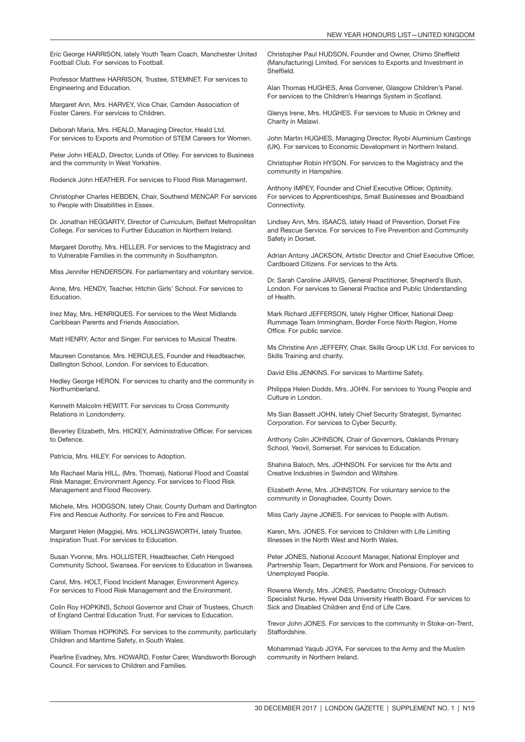Eric George HARRISON, lately Youth Team Coach, Manchester United Football Club. For services to Football.

Professor Matthew HARRISON, Trustee, STEMNET. For services to Engineering and Education.

Margaret Ann, Mrs. HARVEY, Vice Chair, Camden Association of Foster Carers. For services to Children.

Deborah Maria, Mrs. HEALD, Managing Director, Heald Ltd. For services to Exports and Promotion of STEM Careers for Women.

Peter John HEALD, Director, Lunds of Otley. For services to Business and the community in West Yorkshire.

Roderick John HEATHER. For services to Flood Risk Management.

Christopher Charles HEBDEN, Chair, Southend MENCAP. For services to People with Disabilities in Essex.

Dr. Jonathan HEGGARTY, Director of Curriculum, Belfast Metropolitan College. For services to Further Education in Northern Ireland.

Margaret Dorothy, Mrs. HELLER. For services to the Magistracy and to Vulnerable Families in the community in Southampton.

Miss Jennifer HENDERSON. For parliamentary and voluntary service.

Anne, Mrs. HENDY, Teacher, Hitchin Girls' School. For services to Education.

Inez May, Mrs. HENRIQUES. For services to the West Midlands Caribbean Parents and Friends Association.

Matt HENRY, Actor and Singer. For services to Musical Theatre.

Maureen Constance, Mrs. HERCULES, Founder and Headteacher, Dallington School, London. For services to Education.

Hedley George HERON. For services to charity and the community in Northumberland.

Kenneth Malcolm HEWITT. For services to Cross Community Relations in Londonderry.

Beverley Elizabeth, Mrs. HICKEY, Administrative Officer. For services to Defence.

Patricia, Mrs. HILEY. For services to Adoption.

Ms Rachael Maria HILL, (Mrs. Thomas), National Flood and Coastal Risk Manager, Environment Agency. For services to Flood Risk Management and Flood Recovery.

Michele, Mrs. HODGSON, lately Chair, County Durham and Darlington Fire and Rescue Authority. For services to Fire and Rescue.

Margaret Helen (Maggie), Mrs. HOLLINGSWORTH, lately Trustee, Inspiration Trust. For services to Education.

Susan Yvonne, Mrs. HOLLISTER, Headteacher, Cefn Hengoed Community School, Swansea. For services to Education in Swansea.

Carol, Mrs. HOLT, Flood Incident Manager, Environment Agency. For services to Flood Risk Management and the Environment.

Colin Roy HOPKINS, School Governor and Chair of Trustees, Church of England Central Education Trust. For services to Education.

William Thomas HOPKINS. For services to the community, particularly Children and Maritime Safety, in South Wales.

Pearline Evadney, Mrs. HOWARD, Foster Carer, Wandsworth Borough Council. For services to Children and Families.

Christopher Paul HUDSON, Founder and Owner, Chimo Sheffield (Manufacturing) Limited. For services to Exports and Investment in Sheffield.

Alan Thomas HUGHES, Area Convener, Glasgow Children's Panel. For services to the Children's Hearings System in Scotland.

Glenys Irene, Mrs. HUGHES. For services to Music in Orkney and Charity in Malawi.

John Martin HUGHES, Managing Director, Ryobi Aluminium Castings (UK). For services to Economic Development in Northern Ireland.

Christopher Robin HYSON. For services to the Magistracy and the community in Hampshire.

Anthony IMPEY, Founder and Chief Executive Officer, Optimity. For services to Apprenticeships, Small Businesses and Broadband Connectivity.

Lindsey Ann, Mrs. ISAACS, lately Head of Prevention, Dorset Fire and Rescue Service. For services to Fire Prevention and Community Safety in Dorset.

Adrian Antony JACKSON, Artistic Director and Chief Executive Officer, Cardboard Citizens. For services to the Arts.

Dr. Sarah Caroline JARVIS, General Practitioner, Shepherd's Bush, London. For services to General Practice and Public Understanding of Health.

Mark Richard JEFFERSON, lately Higher Officer, National Deep Rummage Team Immingham, Border Force North Region, Home Office. For public service.

Ms Christine Ann JEFFERY, Chair, Skills Group UK Ltd. For services to Skills Training and charity.

David Ellis JENKINS. For services to Maritime Safety.

Philippa Helen Dodds, Mrs. JOHN. For services to Young People and Culture in London.

Ms Sian Bassett JOHN, lately Chief Security Strategist, Symantec Corporation. For services to Cyber Security.

Anthony Colin JOHNSON, Chair of Governors, Oaklands Primary School, Yeovil, Somerset. For services to Education.

Shahina Baloch, Mrs. JOHNSON. For services for the Arts and Creative Industries in Swindon and Wiltshire.

Elizabeth Anne, Mrs. JOHNSTON. For voluntary service to the community in Donaghadee, County Down.

Miss Carly Jayne JONES. For services to People with Autism.

Karen, Mrs. JONES. For services to Children with Life Limiting Illnesses in the North West and North Wales.

Peter JONES, National Account Manager, National Employer and Partnership Team, Department for Work and Pensions. For services to Unemployed People.

Rowena Wendy, Mrs. JONES, Paediatric Oncology Outreach Specialist Nurse, Hywel Dda University Health Board. For services to Sick and Disabled Children and End of Life Care.

Trevor John JONES. For services to the community in Stoke-on-Trent, Staffordshire.

Mohammad Yaqub JOYA. For services to the Army and the Muslim community in Northern Ireland.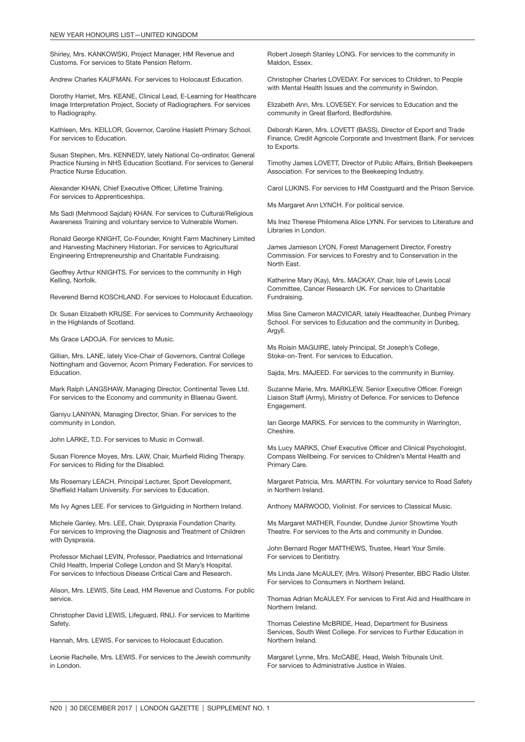Shirley, Mrs. KANKOWSKI, Project Manager, HM Revenue and Customs. For services to State Pension Reform.

Andrew Charles KAUFMAN. For services to Holocaust Education.

Dorothy Harriet, Mrs. KEANE, Clinical Lead, E-Learning for Healthcare Image Interpretation Project, Society of Radiographers. For services to Radiography.

Kathleen, Mrs. KEILLOR, Governor, Caroline Haslett Primary School. For services to Education.

Susan Stephen, Mrs. KENNEDY, lately National Co-ordinator, General Practice Nursing in NHS Education Scotland. For services to General Practice Nurse Education.

Alexander KHAN, Chief Executive Officer, Lifetime Training. For services to Apprenticeships.

Ms Sadi (Mehmood Sajdah) KHAN. For services to Cultural/Religious Awareness Training and voluntary service to Vulnerable Women.

Ronald George KNIGHT, Co-Founder, Knight Farm Machinery Limited and Harvesting Machinery Historian. For services to Agricultural Engineering Entrepreneurship and Charitable Fundraising.

Geoffrey Arthur KNIGHTS. For services to the community in High Kelling, Norfolk.

Reverend Bernd KOSCHLAND. For services to Holocaust Education.

Dr. Susan Elizabeth KRUSE. For services to Community Archaeology in the Highlands of Scotland.

Ms Grace LADOJA. For services to Music.

Gillian, Mrs. LANE, lately Vice-Chair of Governors, Central College Nottingham and Governor, Acorn Primary Federation. For services to Education.

Mark Ralph LANGSHAW, Managing Director, Continental Teves Ltd. For services to the Economy and community in Blaenau Gwent.

Ganiyu LANIYAN, Managing Director, Shian. For services to the community in London.

John LARKE, T.D. For services to Music in Cornwall.

Susan Florence Moyes, Mrs. LAW, Chair, Muirfield Riding Therapy. For services to Riding for the Disabled.

Ms Rosemary LEACH, Principal Lecturer, Sport Development, Sheffield Hallam University. For services to Education.

Ms Ivy Agnes LEE. For services to Girlguiding in Northern Ireland.

Michele Ganley, Mrs. LEE, Chair, Dyspraxia Foundation Charity. For services to Improving the Diagnosis and Treatment of Children with Dyspraxia.

Professor Michael LEVIN, Professor, Paediatrics and International Child Health, Imperial College London and St Mary's Hospital. For services to Infectious Disease Critical Care and Research.

Alison, Mrs. LEWIS, Site Lead, HM Revenue and Customs. For public service.

Christopher David LEWIS, Lifeguard, RNLI. For services to Maritime Safety.

Hannah, Mrs. LEWIS. For services to Holocaust Education.

Leonie Rachelle, Mrs. LEWIS. For services to the Jewish community in London.

Robert Joseph Stanley LONG. For services to the community in Maldon, Essex.

Christopher Charles LOVEDAY. For services to Children, to People with Mental Health Issues and the community in Swindon.

Elizabeth Ann, Mrs. LOVESEY. For services to Education and the community in Great Barford, Bedfordshire.

Deborah Karen, Mrs. LOVETT (BASS), Director of Export and Trade Finance, Credit Agricole Corporate and Investment Bank. For services to Exports.

Timothy James LOVETT, Director of Public Affairs, British Beekeepers Association. For services to the Beekeeping Industry.

Carol LUKINS. For services to HM Coastguard and the Prison Service.

Ms Margaret Ann LYNCH. For political service.

Ms Inez Therese Philomena Alice LYNN. For services to Literature and Libraries in London.

James Jamieson LYON, Forest Management Director, Forestry Commission. For services to Forestry and to Conservation in the North East.

Katherine Mary (Kay), Mrs. MACKAY, Chair, Isle of Lewis Local Committee, Cancer Research UK. For services to Charitable Fundraising.

Miss Sine Cameron MACVICAR, lately Headteacher, Dunbeg Primary School. For services to Education and the community in Dunbeg, Argyll.

Ms Roisin MAGUIRE, lately Principal, St Joseph's College, Stoke-on-Trent. For services to Education.

Sajda, Mrs. MAJEED. For services to the community in Burnley.

Suzanne Marie, Mrs. MARKLEW, Senior Executive Officer. Foreign Liaison Staff (Army), Ministry of Defence. For services to Defence Engagement.

Ian George MARKS. For services to the community in Warrington, Cheshire.

Ms Lucy MARKS, Chief Executive Officer and Clinical Psychologist, Compass Wellbeing. For services to Children's Mental Health and Primary Care.

Margaret Patricia, Mrs. MARTIN. For voluntary service to Road Safety in Northern Ireland.

Anthony MARWOOD, Violinist. For services to Classical Music.

Ms Margaret MATHER, Founder, Dundee Junior Showtime Youth Theatre. For services to the Arts and community in Dundee.

John Bernard Roger MATTHEWS, Trustee, Heart Your Smile. For services to Dentistry.

Ms Linda Jane McAULEY, (Mrs. Wilson) Presenter, BBC Radio Ulster. For services to Consumers in Northern Ireland.

Thomas Adrian McAULEY. For services to First Aid and Healthcare in Northern Ireland.

Thomas Celestine McBRIDE, Head, Department for Business Services, South West College. For services to Further Education in Northern Ireland.

Margaret Lynne, Mrs. McCABE, Head, Welsh Tribunals Unit. For services to Administrative Justice in Wales.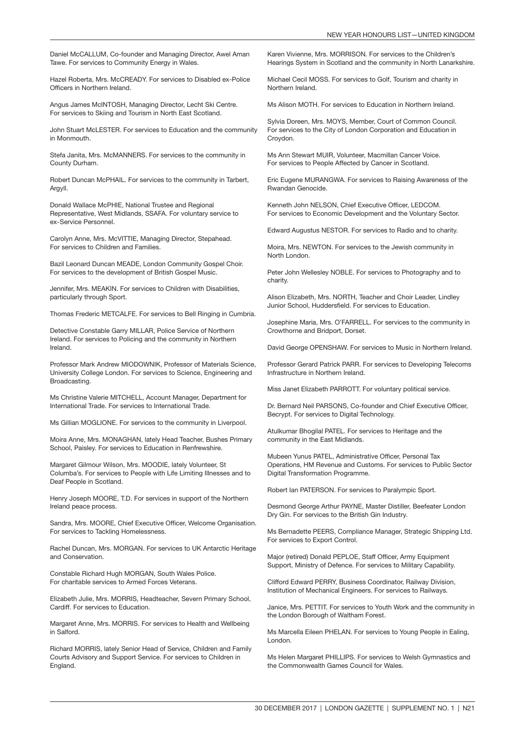Daniel McCALLUM, Co-founder and Managing Director, Awel Aman Tawe. For services to Community Energy in Wales.

Hazel Roberta, Mrs. McCREADY. For services to Disabled ex-Police Officers in Northern Ireland.

Angus James McINTOSH, Managing Director, Lecht Ski Centre. For services to Skiing and Tourism in North East Scotland.

John Stuart McLESTER. For services to Education and the community in Monmouth.

Stefa Janita, Mrs. McMANNERS. For services to the community in County Durham.

Robert Duncan McPHAIL. For services to the community in Tarbert, Aravll.

Donald Wallace McPHIE, National Trustee and Regional Representative, West Midlands, SSAFA. For voluntary service to ex-Service Personnel.

Carolyn Anne, Mrs. McVITTIE, Managing Director, Stepahead. For services to Children and Families.

Bazil Leonard Duncan MEADE, London Community Gospel Choir. For services to the development of British Gospel Music.

Jennifer, Mrs. MEAKIN. For services to Children with Disabilities, particularly through Sport.

Thomas Frederic METCALFE. For services to Bell Ringing in Cumbria.

Detective Constable Garry MILLAR, Police Service of Northern Ireland. For services to Policing and the community in Northern Ireland.

Professor Mark Andrew MIODOWNIK, Professor of Materials Science, University College London. For services to Science, Engineering and Broadcasting.

Ms Christine Valerie MITCHELL, Account Manager, Department for International Trade. For services to International Trade.

Ms Gillian MOGLIONE. For services to the community in Liverpool.

Moira Anne, Mrs. MONAGHAN, lately Head Teacher, Bushes Primary School, Paisley. For services to Education in Renfrewshire.

Margaret Gilmour Wilson, Mrs. MOODIE, lately Volunteer, St Columba's. For services to People with Life Limiting Illnesses and to Deaf People in Scotland.

Henry Joseph MOORE, T.D. For services in support of the Northern Ireland peace process.

Sandra, Mrs. MOORE, Chief Executive Officer, Welcome Organisation. For services to Tackling Homelessness.

Rachel Duncan, Mrs. MORGAN. For services to UK Antarctic Heritage and Conservation.

Constable Richard Hugh MORGAN, South Wales Police. For charitable services to Armed Forces Veterans.

Elizabeth Julie, Mrs. MORRIS, Headteacher, Severn Primary School, Cardiff. For services to Education.

Margaret Anne, Mrs. MORRIS. For services to Health and Wellbeing in Salford.

Richard MORRIS, lately Senior Head of Service, Children and Family Courts Advisory and Support Service. For services to Children in England.

Karen Vivienne, Mrs. MORRISON. For services to the Children's Hearings System in Scotland and the community in North Lanarkshire.

Michael Cecil MOSS. For services to Golf, Tourism and charity in Northern Ireland.

Ms Alison MOTH. For services to Education in Northern Ireland.

Sylvia Doreen, Mrs. MOYS, Member, Court of Common Council. For services to the City of London Corporation and Education in Croydon.

Ms Ann Stewart MUIR, Volunteer, Macmillan Cancer Voice. For services to People Affected by Cancer in Scotland.

Eric Eugene MURANGWA. For services to Raising Awareness of the Rwandan Genocide.

Kenneth John NELSON, Chief Executive Officer, LEDCOM. For services to Economic Development and the Voluntary Sector.

Edward Augustus NESTOR. For services to Radio and to charity.

Moira, Mrs. NEWTON. For services to the Jewish community in North London.

Peter John Wellesley NOBLE. For services to Photography and to charity.

Alison Elizabeth, Mrs. NORTH, Teacher and Choir Leader, Lindley Junior School, Huddersfield. For services to Education.

Josephine Maria, Mrs. O'FARRELL. For services to the community in Crowthorne and Bridport, Dorset.

David George OPENSHAW. For services to Music in Northern Ireland.

Professor Gerard Patrick PARR. For services to Developing Telecoms Infrastructure in Northern Ireland.

Miss Janet Elizabeth PARROTT. For voluntary political service.

Dr. Bernard Neil PARSONS, Co-founder and Chief Executive Officer, Becrypt. For services to Digital Technology.

Atulkumar Bhogilal PATEL. For services to Heritage and the community in the East Midlands.

Mubeen Yunus PATEL, Administrative Officer, Personal Tax Operations, HM Revenue and Customs. For services to Public Sector Digital Transformation Programme.

Robert Ian PATERSON. For services to Paralympic Sport.

Desmond George Arthur PAYNE, Master Distiller, Beefeater London Dry Gin. For services to the British Gin Industry.

Ms Bernadette PEERS, Compliance Manager, Strategic Shipping Ltd. For services to Export Control.

Major (retired) Donald PEPLOE, Staff Officer, Army Equipment Support, Ministry of Defence. For services to Military Capability.

Clifford Edward PERRY, Business Coordinator, Railway Division, Institution of Mechanical Engineers. For services to Railways.

Janice, Mrs. PETTIT. For services to Youth Work and the community in the London Borough of Waltham Forest.

Ms Marcella Eileen PHELAN. For services to Young People in Ealing, London.

Ms Helen Margaret PHILLIPS. For services to Welsh Gymnastics and the Commonwealth Games Council for Wales.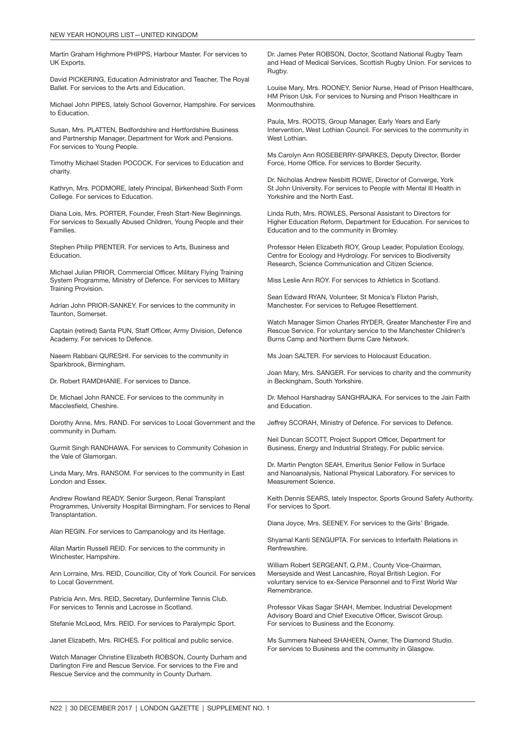Martin Graham Highmore PHIPPS, Harbour Master. For services to UK Exports.

David PICKERING, Education Administrator and Teacher, The Royal Ballet. For services to the Arts and Education.

Michael John PIPES, lately School Governor, Hampshire. For services to Education.

Susan, Mrs. PLATTEN, Bedfordshire and Hertfordshire Business and Partnership Manager, Department for Work and Pensions. For services to Young People.

Timothy Michael Staden POCOCK. For services to Education and charity.

Kathryn, Mrs. PODMORE, lately Principal, Birkenhead Sixth Form College. For services to Education.

Diana Lois, Mrs. PORTER, Founder, Fresh Start-New Beginnings. For services to Sexually Abused Children, Young People and their Families.

Stephen Philip PRENTER. For services to Arts, Business and Education.

Michael Julian PRIOR, Commercial Officer, Military Flying Training System Programme, Ministry of Defence. For services to Military Training Provision.

Adrian John PRIOR-SANKEY. For services to the community in Taunton, Somerset.

Captain (retired) Santa PUN, Staff Officer, Army Division, Defence Academy. For services to Defence.

Naeem Rabbani QURESHI. For services to the community in Sparkbrook, Birmingham.

Dr. Robert RAMDHANIE. For services to Dance.

Dr. Michael John RANCE. For services to the community in Macclesfield, Cheshire.

Dorothy Anne, Mrs. RAND. For services to Local Government and the community in Durham.

Gurmit Singh RANDHAWA. For services to Community Cohesion in the Vale of Glamorgan.

Linda Mary, Mrs. RANSOM. For services to the community in East London and Essex.

Andrew Rowland READY, Senior Surgeon, Renal Transplant Programmes, University Hospital Birmingham. For services to Renal Transplantation.

Alan REGIN. For services to Campanology and its Heritage.

Allan Martin Russell REID. For services to the community in Winchester, Hampshire.

Ann Lorraine, Mrs. REID, Councillor, City of York Council. For services to Local Government.

Patricia Ann, Mrs. REID, Secretary, Dunfermline Tennis Club. For services to Tennis and Lacrosse in Scotland.

Stefanie McLeod, Mrs. REID. For services to Paralympic Sport.

Janet Elizabeth, Mrs. RICHES. For political and public service.

Watch Manager Christine Elizabeth ROBSON, County Durham and Darlington Fire and Rescue Service. For services to the Fire and Rescue Service and the community in County Durham.

Dr. James Peter ROBSON, Doctor, Scotland National Rugby Team and Head of Medical Services, Scottish Rugby Union. For services to Rugby.

Louise Mary, Mrs. ROONEY, Senior Nurse, Head of Prison Healthcare, HM Prison Usk. For services to Nursing and Prison Healthcare in **Monmouthshire** 

Paula, Mrs. ROOTS, Group Manager, Early Years and Early Intervention, West Lothian Council. For services to the community in West Lothian.

Ms Carolyn Ann ROSEBERRY-SPARKES, Deputy Director, Border Force, Home Office. For services to Border Security.

Dr. Nicholas Andrew Nesbitt ROWE, Director of Converge, York St John University. For services to People with Mental Ill Health in Yorkshire and the North East.

Linda Ruth, Mrs. ROWLES, Personal Assistant to Directors for Higher Education Reform, Department for Education. For services to Education and to the community in Bromley.

Professor Helen Elizabeth ROY, Group Leader, Population Ecology, Centre for Ecology and Hydrology. For services to Biodiversity Research, Science Communication and Citizen Science.

Miss Leslie Ann ROY. For services to Athletics in Scotland.

Sean Edward RYAN, Volunteer, St Monica's Flixton Parish, Manchester. For services to Refugee Resettlement.

Watch Manager Simon Charles RYDER, Greater Manchester Fire and Rescue Service. For voluntary service to the Manchester Children's Burns Camp and Northern Burns Care Network.

Ms Joan SALTER. For services to Holocaust Education.

Joan Mary, Mrs. SANGER. For services to charity and the community in Beckingham, South Yorkshire.

Dr. Mehool Harshadray SANGHRAJKA. For services to the Jain Faith and Education.

Jeffrey SCORAH, Ministry of Defence. For services to Defence.

Neil Duncan SCOTT, Project Support Officer, Department for Business, Energy and Industrial Strategy. For public service.

Dr. Martin Pengton SEAH, Emeritus Senior Fellow in Surface and Nanoanalysis, National Physical Laboratory. For services to Measurement Science.

Keith Dennis SEARS, lately Inspector, Sports Ground Safety Authority. For services to Sport.

Diana Joyce, Mrs. SEENEY. For services to the Girls' Brigade.

Shyamal Kanti SENGUPTA. For services to Interfaith Relations in Renfrewshire.

William Robert SERGEANT, Q.P.M., County Vice-Chairman, Merseyside and West Lancashire, Royal British Legion. For voluntary service to ex-Service Personnel and to First World War Remembrance.

Professor Vikas Sagar SHAH, Member, Industrial Development Advisory Board and Chief Executive Officer, Swiscot Group. For services to Business and the Economy.

Ms Summera Naheed SHAHEEN, Owner, The Diamond Studio. For services to Business and the community in Glasgow.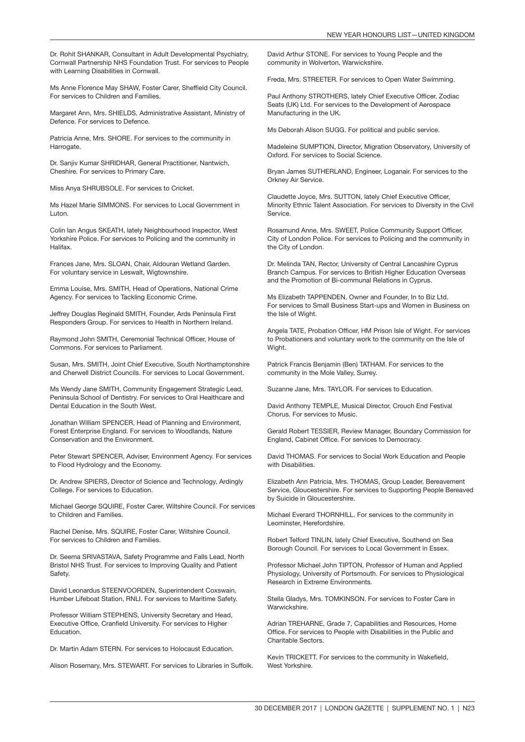Dr. Rohit SHANKAR, Consultant in Adult Developmental Psychiatry, Cornwall Partnership NHS Foundation Trust. For services to People with Learning Disabilities in Cornwall.

Ms Anne Florence May SHAW, Foster Carer, Sheffield City Council. For services to Children and Families.

Margaret Ann, Mrs. SHIELDS, Administrative Assistant, Ministry of Defence. For services to Defence.

Patricia Anne, Mrs. SHORE. For services to the community in Harrogate.

Dr. Sanjiv Kumar SHRIDHAR, General Practitioner, Nantwich, Cheshire. For services to Primary Care.

Miss Anya SHRUBSOLE. For services to Cricket.

Ms Hazel Marie SIMMONS. For services to Local Government in Luton.

Colin Ian Angus SKEATH, lately Neighbourhood Inspector, West Yorkshire Police. For services to Policing and the community in Halifax.

Frances Jane, Mrs. SLOAN, Chair, Aldouran Wetland Garden. For voluntary service in Leswalt, Wigtownshire.

Emma Louise, Mrs. SMITH, Head of Operations, National Crime Agency. For services to Tackling Economic Crime.

Jeffrey Douglas Reginald SMITH, Founder, Ards Peninsula First Responders Group. For services to Health in Northern Ireland.

Raymond John SMITH, Ceremonial Technical Officer, House of Commons. For services to Parliament.

Susan, Mrs. SMITH, Joint Chief Executive, South Northamptonshire and Cherwell District Councils. For services to Local Government.

Ms Wendy Jane SMITH, Community Engagement Strategic Lead, Peninsula School of Dentistry. For services to Oral Healthcare and Dental Education in the South West.

Jonathan William SPENCER, Head of Planning and Environment, Forest Enterprise England. For services to Woodlands, Nature Conservation and the Environment.

Peter Stewart SPENCER, Adviser, Environment Agency. For services to Flood Hydrology and the Economy.

Dr. Andrew SPIERS, Director of Science and Technology, Ardingly College. For services to Education.

Michael George SQUIRE, Foster Carer, Wiltshire Council. For services to Children and Families.

Rachel Denise, Mrs. SQUIRE, Foster Carer, Wiltshire Council. For services to Children and Families.

Dr. Seema SRIVASTAVA, Safety Programme and Falls Lead, North Bristol NHS Trust. For services to Improving Quality and Patient Safety.

David Leonardus STEENVOORDEN, Superintendent Coxswain, Humber Lifeboat Station, RNLI. For services to Maritime Safety.

Professor William STEPHENS, University Secretary and Head, Executive Office, Cranfield University. For services to Higher **Education** 

Dr. Martin Adam STERN. For services to Holocaust Education.

Alison Rosemary, Mrs. STEWART. For services to Libraries in Suffolk.

David Arthur STONE. For services to Young People and the community in Wolverton, Warwickshire.

Freda, Mrs. STREETER. For services to Open Water Swimming.

Paul Anthony STROTHERS, lately Chief Executive Officer, Zodiac Seats (UK) Ltd. For services to the Development of Aerospace Manufacturing in the UK.

Ms Deborah Alison SUGG. For political and public service.

Madeleine SUMPTION, Director, Migration Observatory, University of Oxford. For services to Social Science.

Bryan James SUTHERLAND, Engineer, Loganair. For services to the Orkney Air Service.

Claudette Joyce, Mrs. SUTTON, lately Chief Executive Officer, Minority Ethnic Talent Association. For services to Diversity in the Civil Service.

Rosamund Anne, Mrs. SWEET, Police Community Support Officer, City of London Police. For services to Policing and the community in the City of London.

Dr. Melinda TAN, Rector, University of Central Lancashire Cyprus Branch Campus. For services to British Higher Education Overseas and the Promotion of Bi-communal Relations in Cyprus.

Ms Elizabeth TAPPENDEN, Owner and Founder, In to Biz Ltd. For services to Small Business Start-ups and Women in Business on the Isle of Wight.

Angela TATE, Probation Officer, HM Prison Isle of Wight. For services to Probationers and voluntary work to the community on the Isle of Wight.

Patrick Francis Benjamin (Ben) TATHAM. For services to the community in the Mole Valley, Surrey.

Suzanne Jane, Mrs. TAYLOR. For services to Education.

David Anthony TEMPLE, Musical Director, Crouch End Festival Chorus. For services to Music.

Gerald Robert TESSIER, Review Manager, Boundary Commission for England, Cabinet Office. For services to Democracy.

David THOMAS. For services to Social Work Education and People with Disabilities.

Elizabeth Ann Patricia, Mrs. THOMAS, Group Leader, Bereavement Service, Gloucestershire. For services to Supporting People Bereaved by Suicide in Gloucestershire.

Michael Everard THORNHILL. For services to the community in Leominster, Herefordshire.

Robert Telford TINLIN, lately Chief Executive, Southend on Sea Borough Council. For services to Local Government in Essex.

Professor Michael John TIPTON, Professor of Human and Applied Physiology, University of Portsmouth. For services to Physiological Research in Extreme Environments.

Stella Gladys, Mrs. TOMKINSON. For services to Foster Care in Warwickshire.

Adrian TREHARNE, Grade 7, Capabilities and Resources, Home Office. For services to People with Disabilities in the Public and Charitable Sectors.

Kevin TRICKETT. For services to the community in Wakefield, West Yorkshire.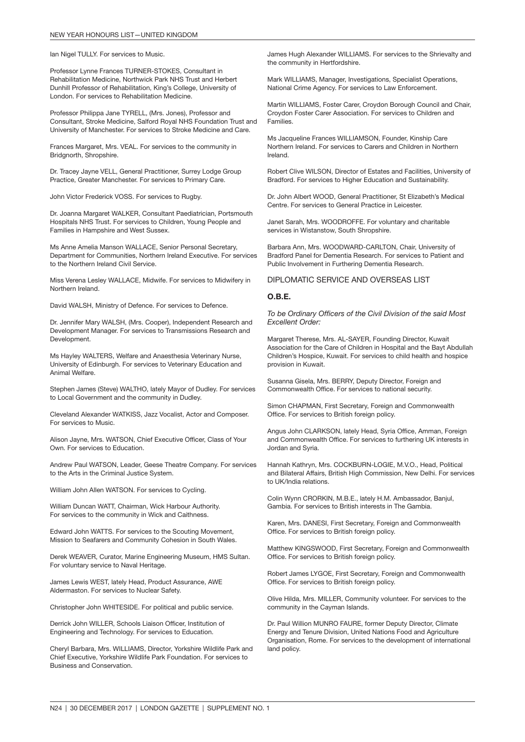Ian Nigel TULLY. For services to Music.

Professor Lynne Frances TURNER-STOKES, Consultant in Rehabilitation Medicine, Northwick Park NHS Trust and Herbert Dunhill Professor of Rehabilitation, King's College, University of London. For services to Rehabilitation Medicine.

Professor Philippa Jane TYRELL, (Mrs. Jones), Professor and Consultant, Stroke Medicine, Salford Royal NHS Foundation Trust and University of Manchester. For services to Stroke Medicine and Care.

Frances Margaret, Mrs. VEAL. For services to the community in Bridgnorth, Shropshire.

Dr. Tracey Jayne VELL, General Practitioner, Surrey Lodge Group Practice, Greater Manchester. For services to Primary Care.

John Victor Frederick VOSS. For services to Rugby.

Dr. Joanna Margaret WALKER, Consultant Paediatrician, Portsmouth Hospitals NHS Trust. For services to Children, Young People and Families in Hampshire and West Sussex.

Ms Anne Amelia Manson WALLACE, Senior Personal Secretary, Department for Communities, Northern Ireland Executive. For services to the Northern Ireland Civil Service.

Miss Verena Lesley WALLACE, Midwife. For services to Midwifery in Northern Ireland.

David WALSH, Ministry of Defence. For services to Defence.

Dr. Jennifer Mary WALSH, (Mrs. Cooper), Independent Research and Development Manager. For services to Transmissions Research and Development.

Ms Hayley WALTERS, Welfare and Anaesthesia Veterinary Nurse, University of Edinburgh. For services to Veterinary Education and Animal Welfare.

Stephen James (Steve) WALTHO, lately Mayor of Dudley. For services to Local Government and the community in Dudley.

Cleveland Alexander WATKISS, Jazz Vocalist, Actor and Composer. For services to Music.

Alison Jayne, Mrs. WATSON, Chief Executive Officer, Class of Your Own. For services to Education.

Andrew Paul WATSON, Leader, Geese Theatre Company. For services to the Arts in the Criminal Justice System.

William John Allen WATSON. For services to Cycling.

William Duncan WATT, Chairman, Wick Harbour Authority. For services to the community in Wick and Caithness.

Edward John WATTS. For services to the Scouting Movement, Mission to Seafarers and Community Cohesion in South Wales.

Derek WEAVER, Curator, Marine Engineering Museum, HMS Sultan. For voluntary service to Naval Heritage.

James Lewis WEST, lately Head, Product Assurance, AWE Aldermaston. For services to Nuclear Safety.

Christopher John WHITESIDE. For political and public service.

Derrick John WILLER, Schools Liaison Officer, Institution of Engineering and Technology. For services to Education.

Cheryl Barbara, Mrs. WILLIAMS, Director, Yorkshire Wildlife Park and Chief Executive, Yorkshire Wildlife Park Foundation. For services to Business and Conservation.

James Hugh Alexander WILLIAMS. For services to the Shrievalty and the community in Hertfordshire.

Mark WILLIAMS, Manager, Investigations, Specialist Operations, National Crime Agency. For services to Law Enforcement.

Martin WILLIAMS, Foster Carer, Croydon Borough Council and Chair, Croydon Foster Carer Association. For services to Children and Families.

Ms Jacqueline Frances WILLIAMSON, Founder, Kinship Care Northern Ireland. For services to Carers and Children in Northern Ireland.

Robert Clive WILSON, Director of Estates and Facilities, University of Bradford. For services to Higher Education and Sustainability.

Dr. John Albert WOOD, General Practitioner, St Elizabeth's Medical Centre. For services to General Practice in Leicester.

Janet Sarah, Mrs. WOODROFFE. For voluntary and charitable services in Wistanstow, South Shropshire.

Barbara Ann, Mrs. WOODWARD-CARLTON, Chair, University of Bradford Panel for Dementia Research. For services to Patient and Public Involvement in Furthering Dementia Research.

#### DIPLOMATIC SERVICE AND OVERSEAS LIST

#### O.B.E.

*To be Ordinary Officers of the Civil Division of the said Most Excellent Order:*

Margaret Therese, Mrs. AL-SAYER, Founding Director, Kuwait Association for the Care of Children in Hospital and the Bayt Abdullah Children's Hospice, Kuwait. For services to child health and hospice provision in Kuwait.

Susanna Gisela, Mrs. BERRY, Deputy Director, Foreign and Commonwealth Office. For services to national security.

Simon CHAPMAN, First Secretary, Foreign and Commonwealth Office. For services to British foreign policy.

Angus John CLARKSON, lately Head, Syria Office, Amman, Foreign and Commonwealth Office. For services to furthering UK interests in Jordan and Syria.

Hannah Kathryn, Mrs. COCKBURN-LOGIE, M.V.O., Head, Political and Bilateral Affairs, British High Commission, New Delhi. For services to UK/India relations.

Colin Wynn CRORKIN, M.B.E., lately H.M. Ambassador, Banjul, Gambia. For services to British interests in The Gambia.

Karen, Mrs. DANESI, First Secretary, Foreign and Commonwealth Office. For services to British foreign policy.

Matthew KINGSWOOD, First Secretary, Foreign and Commonwealth Office. For services to British foreign policy.

Robert James LYGOE, First Secretary, Foreign and Commonwealth Office. For services to British foreign policy.

Olive Hilda, Mrs. MILLER, Community volunteer. For services to the community in the Cayman Islands.

Dr. Paul Willion MUNRO FAURE, former Deputy Director, Climate Energy and Tenure Division, United Nations Food and Agriculture Organisation, Rome. For services to the development of international land policy.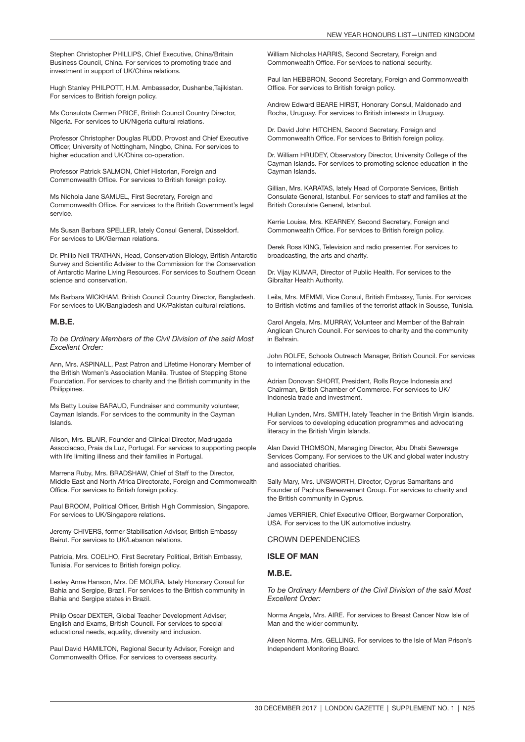Stephen Christopher PHILLIPS, Chief Executive, China/Britain Business Council, China. For services to promoting trade and investment in support of UK/China relations.

Hugh Stanley PHILPOTT, H.M. Ambassador, Dushanbe,Tajikistan. For services to British foreign policy.

Ms Consulota Carmen PRICE, British Council Country Director, Nigeria. For services to UK/Nigeria cultural relations.

Professor Christopher Douglas RUDD, Provost and Chief Executive Officer, University of Nottingham, Ningbo, China. For services to higher education and UK/China co-operation.

Professor Patrick SALMON, Chief Historian, Foreign and Commonwealth Office. For services to British foreign policy.

Ms Nichola Jane SAMUEL, First Secretary, Foreign and Commonwealth Office. For services to the British Government's legal service.

Ms Susan Barbara SPELLER, lately Consul General, Düsseldorf. For services to UK/German relations.

Dr. Philip Neil TRATHAN, Head, Conservation Biology, British Antarctic Survey and Scientific Adviser to the Commission for the Conservation of Antarctic Marine Living Resources. For services to Southern Ocean science and conservation.

Ms Barbara WICKHAM, British Council Country Director, Bangladesh. For services to UK/Bangladesh and UK/Pakistan cultural relations.

#### M.B.E.

*To be Ordinary Members of the Civil Division of the said Most Excellent Order:*

Ann, Mrs. ASPINALL, Past Patron and Lifetime Honorary Member of the British Women's Association Manila. Trustee of Stepping Stone Foundation. For services to charity and the British community in the Philippines.

Ms Betty Louise BARAUD, Fundraiser and community volunteer, Cayman Islands. For services to the community in the Cayman Islands.

Alison, Mrs. BLAIR, Founder and Clinical Director, Madrugada Associacao, Praia da Luz, Portugal. For services to supporting people with life limiting illness and their families in Portugal.

Marrena Ruby, Mrs. BRADSHAW, Chief of Staff to the Director, Middle East and North Africa Directorate, Foreign and Commonwealth Office. For services to British foreign policy.

Paul BROOM, Political Officer, British High Commission, Singapore. For services to UK/Singapore relations.

Jeremy CHIVERS, former Stabilisation Advisor, British Embassy Beirut. For services to UK/Lebanon relations.

Patricia, Mrs. COELHO, First Secretary Political, British Embassy, Tunisia. For services to British foreign policy.

Lesley Anne Hanson, Mrs. DE MOURA, lately Honorary Consul for Bahia and Sergipe, Brazil. For services to the British community in Bahia and Sergipe states in Brazil.

Philip Oscar DEXTER, Global Teacher Development Adviser, English and Exams, British Council. For services to special educational needs, equality, diversity and inclusion.

Paul David HAMILTON, Regional Security Advisor, Foreign and Commonwealth Office. For services to overseas security.

William Nicholas HARRIS, Second Secretary, Foreign and Commonwealth Office. For services to national security.

Paul Ian HEBBRON, Second Secretary, Foreign and Commonwealth Office. For services to British foreign policy.

Andrew Edward BEARE HIRST, Honorary Consul, Maldonado and Rocha, Uruguay. For services to British interests in Uruguay.

Dr. David John HITCHEN, Second Secretary, Foreign and Commonwealth Office. For services to British foreign policy.

Dr. William HRUDEY, Observatory Director, University College of the Cayman Islands. For services to promoting science education in the Cayman Islands.

Gillian, Mrs. KARATAS, lately Head of Corporate Services, British Consulate General, Istanbul. For services to staff and families at the British Consulate General, Istanbul.

Kerrie Louise, Mrs. KEARNEY, Second Secretary, Foreign and Commonwealth Office. For services to British foreign policy.

Derek Ross KING, Television and radio presenter. For services to broadcasting, the arts and charity.

Dr. Vijay KUMAR, Director of Public Health. For services to the Gibraltar Health Authority.

Leila, Mrs. MEMMI, Vice Consul, British Embassy, Tunis. For services to British victims and families of the terrorist attack in Sousse, Tunisia.

Carol Angela, Mrs. MURRAY, Volunteer and Member of the Bahrain Anglican Church Council. For services to charity and the community in Bahrain.

John ROLFE, Schools Outreach Manager, British Council. For services to international education.

Adrian Donovan SHORT, President, Rolls Royce Indonesia and Chairman, British Chamber of Commerce. For services to UK/ Indonesia trade and investment.

Hulian Lynden, Mrs. SMITH, lately Teacher in the British Virgin Islands. For services to developing education programmes and advocating literacy in the British Virgin Islands.

Alan David THOMSON, Managing Director, Abu Dhabi Sewerage Services Company. For services to the UK and global water industry and associated charities.

Sally Mary, Mrs. UNSWORTH, Director, Cyprus Samaritans and Founder of Paphos Bereavement Group. For services to charity and the British community in Cyprus.

James VERRIER, Chief Executive Officer, Borgwarner Corporation, USA. For services to the UK automotive industry.

CROWN DEPENDENCIES

#### ISLE OF MAN

#### M.B.E.

*To be Ordinary Members of the Civil Division of the said Most Excellent Order:*

Norma Angela, Mrs. AIRE. For services to Breast Cancer Now Isle of Man and the wider community.

Aileen Norma, Mrs. GELLING. For services to the Isle of Man Prison's Independent Monitoring Board.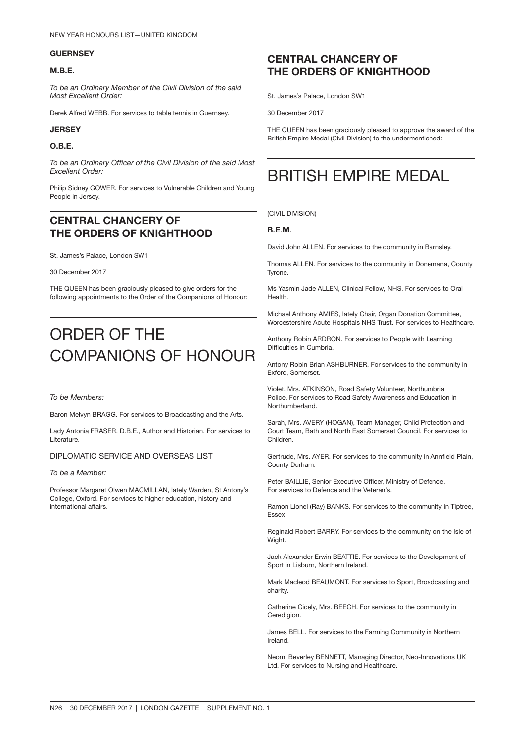#### **GUERNSEY**

#### M.B.E.

*To be an Ordinary Member of the Civil Division of the said Most Excellent Order:*

Derek Alfred WEBB. For services to table tennis in Guernsey.

#### **JERSEY**

#### O.B.E.

*To be an Ordinary Officer of the Civil Division of the said Most Excellent Order:*

Philip Sidney GOWER. For services to Vulnerable Children and Young People in Jersey.

### CENTRAL CHANCERY OF THE ORDERS OF KNIGHTHOOD

St. James's Palace, London SW1

30 December 2017

THE QUEEN has been graciously pleased to give orders for the following appointments to the Order of the Companions of Honour:

## ORDER OF THE COMPANIONS OF HONOUR

#### *To be Members:*

Baron Melvyn BRAGG. For services to Broadcasting and the Arts.

Lady Antonia FRASER, D.B.E., Author and Historian. For services to **Literature** 

DIPLOMATIC SERVICE AND OVERSEAS LIST

#### *To be a Member:*

Professor Margaret Olwen MACMILLAN, lately Warden, St Antony's College, Oxford. For services to higher education, history and international affairs.

### CENTRAL CHANCERY OF THE ORDERS OF KNIGHTHOOD

St. James's Palace, London SW1

30 December 2017

THE QUEEN has been graciously pleased to approve the award of the British Empire Medal (Civil Division) to the undermentioned:

### BRITISH EMPIRE MEDAL

(CIVIL DIVISION)

#### B.E.M.

David John ALLEN. For services to the community in Barnsley.

Thomas ALLEN. For services to the community in Donemana, County Tyrone.

Ms Yasmin Jade ALLEN, Clinical Fellow, NHS. For services to Oral Health.

Michael Anthony AMIES, lately Chair, Organ Donation Committee, Worcestershire Acute Hospitals NHS Trust. For services to Healthcare.

Anthony Robin ARDRON. For services to People with Learning Difficulties in Cumbria.

Antony Robin Brian ASHBURNER. For services to the community in Exford, Somerset.

Violet, Mrs. ATKINSON, Road Safety Volunteer, Northumbria Police. For services to Road Safety Awareness and Education in Northumberland.

Sarah, Mrs. AVERY (HOGAN), Team Manager, Child Protection and Court Team, Bath and North East Somerset Council. For services to Children.

Gertrude, Mrs. AYER. For services to the community in Annfield Plain, County Durham.

Peter BAILLIE, Senior Executive Officer, Ministry of Defence. For services to Defence and the Veteran's.

Ramon Lionel (Ray) BANKS. For services to the community in Tiptree, Essex.

Reginald Robert BARRY. For services to the community on the Isle of Wight.

Jack Alexander Erwin BEATTIE. For services to the Development of Sport in Lisburn, Northern Ireland.

Mark Macleod BEAUMONT. For services to Sport, Broadcasting and charity.

Catherine Cicely, Mrs. BEECH. For services to the community in Ceredigion.

James BELL. For services to the Farming Community in Northern Ireland.

Neomi Beverley BENNETT, Managing Director, Neo-Innovations UK Ltd. For services to Nursing and Healthcare.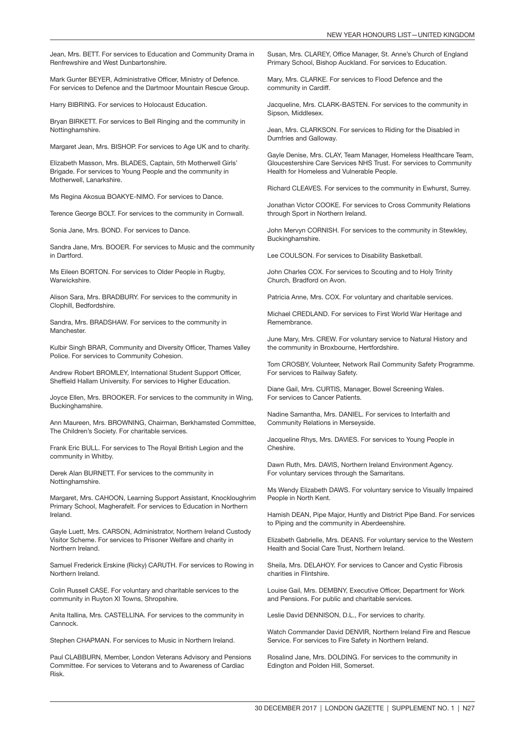Jean, Mrs. BETT. For services to Education and Community Drama in Renfrewshire and West Dunbartonshire.

Mark Gunter BEYER, Administrative Officer, Ministry of Defence. For services to Defence and the Dartmoor Mountain Rescue Group.

Harry BIBRING. For services to Holocaust Education.

Bryan BIRKETT. For services to Bell Ringing and the community in Nottinghamshire.

Margaret Jean, Mrs. BISHOP. For services to Age UK and to charity.

Elizabeth Masson, Mrs. BLADES, Captain, 5th Motherwell Girls' Brigade. For services to Young People and the community in Motherwell, Lanarkshire.

Ms Regina Akosua BOAKYE-NIMO. For services to Dance.

Terence George BOLT. For services to the community in Cornwall.

Sonia Jane, Mrs. BOND. For services to Dance.

Sandra Jane, Mrs. BOOER. For services to Music and the community in Dartford.

Ms Eileen BORTON. For services to Older People in Rugby, **Warwickshire** 

Alison Sara, Mrs. BRADBURY. For services to the community in Clophill, Bedfordshire.

Sandra, Mrs. BRADSHAW. For services to the community in Manchester.

Kulbir Singh BRAR, Community and Diversity Officer, Thames Valley Police. For services to Community Cohesion.

Andrew Robert BROMLEY, International Student Support Officer, Sheffield Hallam University. For services to Higher Education.

Joyce Ellen, Mrs. BROOKER. For services to the community in Wing, Buckinghamshire.

Ann Maureen, Mrs. BROWNING, Chairman, Berkhamsted Committee, The Children's Society. For charitable services.

Frank Eric BULL. For services to The Royal British Legion and the community in Whitby.

Derek Alan BURNETT. For services to the community in Nottinghamshire.

Margaret, Mrs. CAHOON, Learning Support Assistant, Knockloughrim Primary School, Magherafelt. For services to Education in Northern Ireland.

Gayle Luett, Mrs. CARSON, Administrator, Northern Ireland Custody Visitor Scheme. For services to Prisoner Welfare and charity in Northern Ireland.

Samuel Frederick Erskine (Ricky) CARUTH. For services to Rowing in Northern Ireland.

Colin Russell CASE. For voluntary and charitable services to the community in Ruyton XI Towns, Shropshire.

Anita Itallina, Mrs. CASTELLINA. For services to the community in Cannock.

Stephen CHAPMAN. For services to Music in Northern Ireland.

Paul CLABBURN, Member, London Veterans Advisory and Pensions Committee. For services to Veterans and to Awareness of Cardiac Risk.

Susan, Mrs. CLAREY, Office Manager, St. Anne's Church of England Primary School, Bishop Auckland. For services to Education.

Mary, Mrs. CLARKE. For services to Flood Defence and the community in Cardiff.

Jacqueline, Mrs. CLARK-BASTEN. For services to the community in Sipson, Middlesex.

Jean, Mrs. CLARKSON. For services to Riding for the Disabled in Dumfries and Galloway.

Gayle Denise, Mrs. CLAY, Team Manager, Homeless Healthcare Team, Gloucestershire Care Services NHS Trust. For services to Community Health for Homeless and Vulnerable People.

Richard CLEAVES. For services to the community in Ewhurst, Surrey.

Jonathan Victor COOKE. For services to Cross Community Relations through Sport in Northern Ireland.

John Mervyn CORNISH. For services to the community in Stewkley, Buckinghamshire.

Lee COULSON. For services to Disability Basketball.

John Charles COX. For services to Scouting and to Holy Trinity Church, Bradford on Avon.

Patricia Anne, Mrs. COX. For voluntary and charitable services.

Michael CREDLAND. For services to First World War Heritage and Remembrance.

June Mary, Mrs. CREW. For voluntary service to Natural History and the community in Broxbourne, Hertfordshire.

Tom CROSBY, Volunteer, Network Rail Community Safety Programme. For services to Railway Safety.

Diane Gail, Mrs. CURTIS, Manager, Bowel Screening Wales. For services to Cancer Patients.

Nadine Samantha, Mrs. DANIEL. For services to Interfaith and Community Relations in Merseyside.

Jacqueline Rhys, Mrs. DAVIES. For services to Young People in Cheshire.

Dawn Ruth, Mrs. DAVIS, Northern Ireland Environment Agency. For voluntary services through the Samaritans.

Ms Wendy Elizabeth DAWS. For voluntary service to Visually Impaired People in North Kent.

Hamish DEAN, Pipe Major, Huntly and District Pipe Band. For services to Piping and the community in Aberdeenshire.

Elizabeth Gabrielle, Mrs. DEANS. For voluntary service to the Western Health and Social Care Trust, Northern Ireland.

Sheila, Mrs. DELAHOY. For services to Cancer and Cystic Fibrosis charities in Flintshire.

Louise Gail, Mrs. DEMBNY, Executive Officer, Department for Work and Pensions. For public and charitable services.

Leslie David DENNISON, D.L., For services to charity.

Watch Commander David DENVIR, Northern Ireland Fire and Rescue Service. For services to Fire Safety in Northern Ireland.

Rosalind Jane, Mrs. DOLDING. For services to the community in Edington and Polden Hill, Somerset.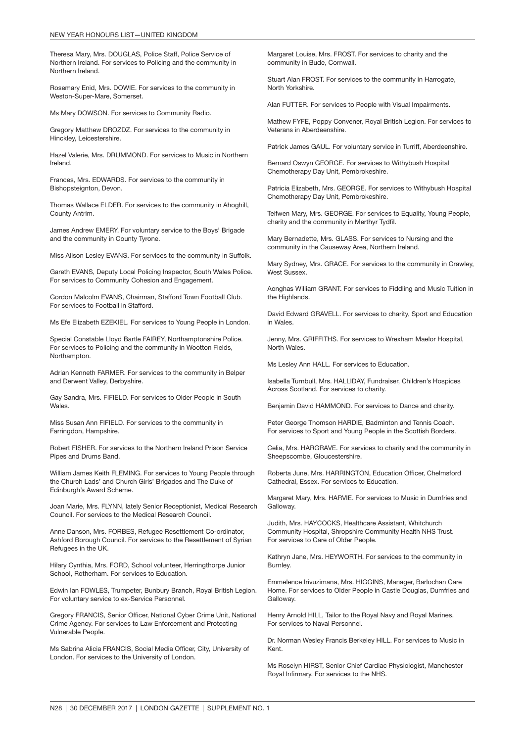Theresa Mary, Mrs. DOUGLAS, Police Staff, Police Service of Northern Ireland. For services to Policing and the community in Northern Ireland.

Rosemary Enid, Mrs. DOWIE. For services to the community in Weston-Super-Mare, Somerset.

Ms Mary DOWSON. For services to Community Radio.

Gregory Matthew DROZDZ. For services to the community in Hinckley, Leicestershire.

Hazel Valerie, Mrs. DRUMMOND. For services to Music in Northern Ireland.

Frances, Mrs. EDWARDS. For services to the community in Bishopsteignton, Devon.

Thomas Wallace ELDER. For services to the community in Ahoghill, County Antrim.

James Andrew EMERY. For voluntary service to the Boys' Brigade and the community in County Tyrone.

Miss Alison Lesley EVANS. For services to the community in Suffolk.

Gareth EVANS, Deputy Local Policing Inspector, South Wales Police. For services to Community Cohesion and Engagement.

Gordon Malcolm EVANS, Chairman, Stafford Town Football Club. For services to Football in Stafford.

Ms Efe Elizabeth EZEKIEL. For services to Young People in London.

Special Constable Lloyd Bartle FAIREY, Northamptonshire Police. For services to Policing and the community in Wootton Fields, Northampton.

Adrian Kenneth FARMER. For services to the community in Belper and Derwent Valley, Derbyshire.

Gay Sandra, Mrs. FIFIELD. For services to Older People in South Wales.

Miss Susan Ann FIFIELD. For services to the community in Farringdon, Hampshire.

Robert FISHER. For services to the Northern Ireland Prison Service Pipes and Drums Band.

William James Keith FLEMING. For services to Young People through the Church Lads' and Church Girls' Brigades and The Duke of Edinburgh's Award Scheme.

Joan Marie, Mrs. FLYNN, lately Senior Receptionist, Medical Research Council. For services to the Medical Research Council.

Anne Danson, Mrs. FORBES, Refugee Resettlement Co-ordinator, Ashford Borough Council. For services to the Resettlement of Syrian Refugees in the UK.

Hilary Cynthia, Mrs. FORD, School volunteer, Herringthorpe Junior School, Rotherham. For services to Education.

Edwin Ian FOWLES, Trumpeter, Bunbury Branch, Royal British Legion. For voluntary service to ex-Service Personnel.

Gregory FRANCIS, Senior Officer, National Cyber Crime Unit, National Crime Agency. For services to Law Enforcement and Protecting Vulnerable People.

Ms Sabrina Alicia FRANCIS, Social Media Officer, City, University of London. For services to the University of London.

Margaret Louise, Mrs. FROST. For services to charity and the community in Bude, Cornwall.

Stuart Alan FROST. For services to the community in Harrogate, North Yorkshire.

Alan FUTTER. For services to People with Visual Impairments.

Mathew FYFE, Poppy Convener, Royal British Legion. For services to Veterans in Aberdeenshire.

Patrick James GAUL. For voluntary service in Turriff, Aberdeenshire.

Bernard Oswyn GEORGE. For services to Withybush Hospital Chemotherapy Day Unit, Pembrokeshire.

Patricia Elizabeth, Mrs. GEORGE. For services to Withybush Hospital Chemotherapy Day Unit, Pembrokeshire.

Teifwen Mary, Mrs. GEORGE. For services to Equality, Young People, charity and the community in Merthyr Tydfil.

Mary Bernadette, Mrs. GLASS. For services to Nursing and the community in the Causeway Area, Northern Ireland.

Mary Sydney, Mrs. GRACE. For services to the community in Crawley, West Sussex.

Aonghas William GRANT. For services to Fiddling and Music Tuition in the Highlands.

David Edward GRAVELL. For services to charity, Sport and Education in Wales.

Jenny, Mrs. GRIFFITHS. For services to Wrexham Maelor Hospital, North Wales.

Ms Lesley Ann HALL. For services to Education.

Isabella Turnbull, Mrs. HALLIDAY, Fundraiser, Children's Hospices Across Scotland. For services to charity.

Benjamin David HAMMOND. For services to Dance and charity.

Peter George Thomson HARDIE, Badminton and Tennis Coach. For services to Sport and Young People in the Scottish Borders.

Celia, Mrs. HARGRAVE. For services to charity and the community in Sheepscombe, Gloucestershire.

Roberta June, Mrs. HARRINGTON, Education Officer, Chelmsford Cathedral, Essex. For services to Education.

Margaret Mary, Mrs. HARVIE. For services to Music in Dumfries and Galloway.

Judith, Mrs. HAYCOCKS, Healthcare Assistant, Whitchurch Community Hospital, Shropshire Community Health NHS Trust. For services to Care of Older People.

Kathryn Jane, Mrs. HEYWORTH. For services to the community in Burnley.

Emmelence Irivuzimana, Mrs. HIGGINS, Manager, Barlochan Care Home. For services to Older People in Castle Douglas, Dumfries and Galloway.

Henry Arnold HILL, Tailor to the Royal Navy and Royal Marines. For services to Naval Personnel.

Dr. Norman Wesley Francis Berkeley HILL. For services to Music in Kent.

Ms Roselyn HIRST, Senior Chief Cardiac Physiologist, Manchester Royal Infirmary. For services to the NHS.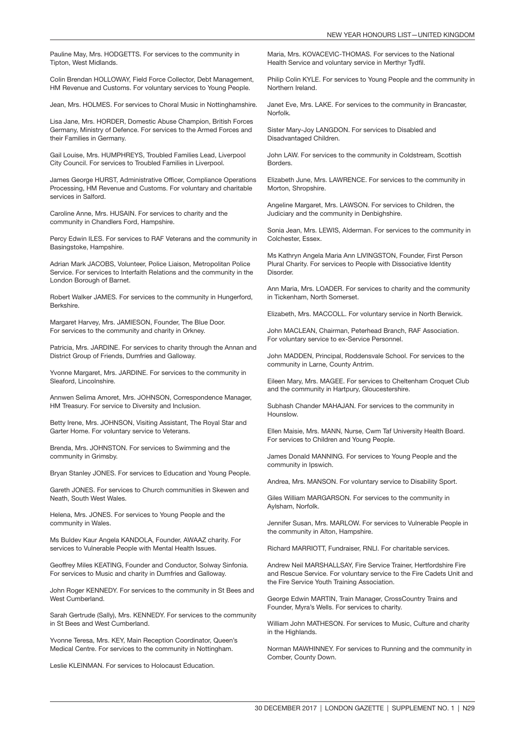Pauline May, Mrs. HODGETTS. For services to the community in Tipton, West Midlands.

Colin Brendan HOLLOWAY, Field Force Collector, Debt Management, HM Revenue and Customs. For voluntary services to Young People.

Jean, Mrs. HOLMES. For services to Choral Music in Nottinghamshire.

Lisa Jane, Mrs. HORDER, Domestic Abuse Champion, British Forces Germany, Ministry of Defence. For services to the Armed Forces and their Families in Germany.

Gail Louise, Mrs. HUMPHREYS, Troubled Families Lead, Liverpool City Council. For services to Troubled Families in Liverpool.

James George HURST, Administrative Officer, Compliance Operations Processing, HM Revenue and Customs. For voluntary and charitable services in Salford.

Caroline Anne, Mrs. HUSAIN. For services to charity and the community in Chandlers Ford, Hampshire.

Percy Edwin ILES. For services to RAF Veterans and the community in Basingstoke, Hampshire.

Adrian Mark JACOBS, Volunteer, Police Liaison, Metropolitan Police Service. For services to Interfaith Relations and the community in the London Borough of Barnet.

Robert Walker JAMES. For services to the community in Hungerford, Berkshire.

Margaret Harvey, Mrs. JAMIESON, Founder, The Blue Door. For services to the community and charity in Orkney.

Patricia, Mrs. JARDINE. For services to charity through the Annan and District Group of Friends, Dumfries and Galloway.

Yvonne Margaret, Mrs. JARDINE. For services to the community in Sleaford, Lincolnshire.

Annwen Selima Amoret, Mrs. JOHNSON, Correspondence Manager, HM Treasury. For service to Diversity and Inclusion.

Betty Irene, Mrs. JOHNSON, Visiting Assistant, The Royal Star and Garter Home. For voluntary service to Veterans.

Brenda, Mrs. JOHNSTON. For services to Swimming and the community in Grimsby.

Bryan Stanley JONES. For services to Education and Young People.

Gareth JONES. For services to Church communities in Skewen and Neath, South West Wales.

Helena, Mrs. JONES. For services to Young People and the community in Wales.

Ms Buldev Kaur Angela KANDOLA, Founder, AWAAZ charity. For services to Vulnerable People with Mental Health Issues.

Geoffrey Miles KEATING, Founder and Conductor, Solway Sinfonia. For services to Music and charity in Dumfries and Galloway.

John Roger KENNEDY. For services to the community in St Bees and West Cumberland.

Sarah Gertrude (Sally), Mrs. KENNEDY. For services to the community in St Bees and West Cumberland.

Yvonne Teresa, Mrs. KEY, Main Reception Coordinator, Queen's Medical Centre. For services to the community in Nottingham.

Leslie KLEINMAN. For services to Holocaust Education.

Maria, Mrs. KOVACEVIC-THOMAS. For services to the National Health Service and voluntary service in Merthyr Tydfil.

Philip Colin KYLE. For services to Young People and the community in Northern Ireland.

Janet Eve, Mrs. LAKE. For services to the community in Brancaster, **Norfolk** 

Sister Mary-Joy LANGDON. For services to Disabled and Disadvantaged Children.

John LAW. For services to the community in Coldstream, Scottish Borders.

Elizabeth June, Mrs. LAWRENCE. For services to the community in Morton, Shropshire.

Angeline Margaret, Mrs. LAWSON. For services to Children, the Judiciary and the community in Denbighshire.

Sonia Jean, Mrs. LEWIS, Alderman. For services to the community in Colchester, Essex.

Ms Kathryn Angela Maria Ann LIVINGSTON, Founder, First Person Plural Charity. For services to People with Dissociative Identity Disorder.

Ann Maria, Mrs. LOADER. For services to charity and the community in Tickenham, North Somerset.

Elizabeth, Mrs. MACCOLL. For voluntary service in North Berwick.

John MACLEAN, Chairman, Peterhead Branch, RAF Association. For voluntary service to ex-Service Personnel.

John MADDEN, Principal, Roddensvale School. For services to the community in Larne, County Antrim.

Eileen Mary, Mrs. MAGEE. For services to Cheltenham Croquet Club and the community in Hartpury, Gloucestershire.

Subhash Chander MAHAJAN. For services to the community in Hounslow.

Ellen Maisie, Mrs. MANN, Nurse, Cwm Taf University Health Board. For services to Children and Young People.

James Donald MANNING. For services to Young People and the community in Ipswich.

Andrea, Mrs. MANSON. For voluntary service to Disability Sport.

Giles William MARGARSON. For services to the community in Aylsham, Norfolk.

Jennifer Susan, Mrs. MARLOW. For services to Vulnerable People in the community in Alton, Hampshire.

Richard MARRIOTT, Fundraiser, RNLI. For charitable services.

Andrew Neil MARSHALLSAY, Fire Service Trainer, Hertfordshire Fire and Rescue Service. For voluntary service to the Fire Cadets Unit and the Fire Service Youth Training Association.

George Edwin MARTIN, Train Manager, CrossCountry Trains and Founder, Myra's Wells. For services to charity.

William John MATHESON. For services to Music, Culture and charity in the Highlands.

Norman MAWHINNEY. For services to Running and the community in Comber, County Down.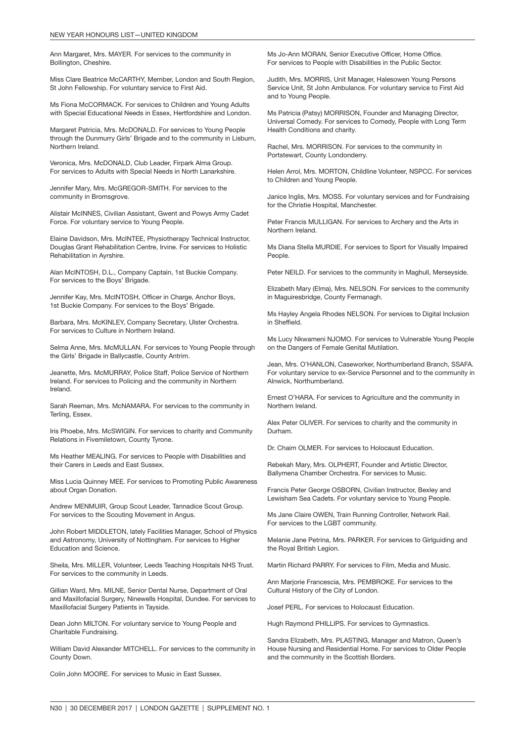Ann Margaret, Mrs. MAYER. For services to the community in Bollington, Cheshire.

Miss Clare Beatrice McCARTHY, Member, London and South Region, St John Fellowship. For voluntary service to First Aid.

Ms Fiona McCORMACK. For services to Children and Young Adults with Special Educational Needs in Essex, Hertfordshire and London.

Margaret Patricia, Mrs. McDONALD. For services to Young People through the Dunmurry Girls' Brigade and to the community in Lisburn, Northern Ireland.

Veronica, Mrs. McDONALD, Club Leader, Firpark Alma Group. For services to Adults with Special Needs in North Lanarkshire.

Jennifer Mary, Mrs. McGREGOR-SMITH. For services to the community in Bromsgrove.

Alistair McINNES, Civilian Assistant, Gwent and Powys Army Cadet Force. For voluntary service to Young People.

Elaine Davidson, Mrs. McINTEE, Physiotherapy Technical Instructor, Douglas Grant Rehabilitation Centre, Irvine. For services to Holistic Rehabilitation in Ayrshire.

Alan McINTOSH, D.L., Company Captain, 1st Buckie Company. For services to the Boys' Brigade.

Jennifer Kay, Mrs. McINTOSH, Officer in Charge, Anchor Boys, 1st Buckie Company. For services to the Boys' Brigade.

Barbara, Mrs. McKINLEY, Company Secretary, Ulster Orchestra. For services to Culture in Northern Ireland.

Selma Anne, Mrs. McMULLAN. For services to Young People through the Girls' Brigade in Ballycastle, County Antrim.

Jeanette, Mrs. McMURRAY, Police Staff, Police Service of Northern Ireland. For services to Policing and the community in Northern Ireland.

Sarah Reeman, Mrs. McNAMARA. For services to the community in Terling, Essex.

Iris Phoebe, Mrs. McSWIGIN. For services to charity and Community Relations in Fivemiletown, County Tyrone.

Ms Heather MEALING. For services to People with Disabilities and their Carers in Leeds and East Sussex.

Miss Lucia Quinney MEE. For services to Promoting Public Awareness about Organ Donation.

Andrew MENMUIR, Group Scout Leader, Tannadice Scout Group. For services to the Scouting Movement in Angus.

John Robert MIDDLETON, lately Facilities Manager, School of Physics and Astronomy, University of Nottingham. For services to Higher Education and Science.

Sheila, Mrs. MILLER, Volunteer, Leeds Teaching Hospitals NHS Trust. For services to the community in Leeds.

Gillian Ward, Mrs. MILNE, Senior Dental Nurse, Department of Oral and Maxillofacial Surgery, Ninewells Hospital, Dundee. For services to Maxillofacial Surgery Patients in Tayside.

Dean John MILTON. For voluntary service to Young People and Charitable Fundraising.

William David Alexander MITCHELL. For services to the community in County Down.

Colin John MOORE. For services to Music in East Sussex.

Ms Jo-Ann MORAN, Senior Executive Officer, Home Office. For services to People with Disabilities in the Public Sector.

Judith, Mrs. MORRIS, Unit Manager, Halesowen Young Persons Service Unit, St John Ambulance. For voluntary service to First Aid and to Young People.

Ms Patricia (Patsy) MORRISON, Founder and Managing Director, Universal Comedy. For services to Comedy, People with Long Term Health Conditions and charity.

Rachel, Mrs. MORRISON. For services to the community in Portstewart, County Londonderry.

Helen Arrol, Mrs. MORTON, Childline Volunteer, NSPCC. For services to Children and Young People.

Janice Inglis, Mrs. MOSS. For voluntary services and for Fundraising for the Christie Hospital, Manchester.

Peter Francis MULLIGAN. For services to Archery and the Arts in Northern Ireland.

Ms Diana Stella MURDIE. For services to Sport for Visually Impaired People.

Peter NEILD. For services to the community in Maghull, Merseyside.

Elizabeth Mary (Elma), Mrs. NELSON. For services to the community in Maguiresbridge, County Fermanagh.

Ms Hayley Angela Rhodes NELSON. For services to Digital Inclusion in Sheffield.

Ms Lucy Nkwameni NJOMO. For services to Vulnerable Young People on the Dangers of Female Genital Mutilation.

Jean, Mrs. O'HANLON, Caseworker, Northumberland Branch, SSAFA. For voluntary service to ex-Service Personnel and to the community in Alnwick, Northumberland.

Ernest O'HARA. For services to Agriculture and the community in Northern Ireland.

Alex Peter OLIVER. For services to charity and the community in Durham.

Dr. Chaim OLMER. For services to Holocaust Education.

Rebekah Mary, Mrs. OLPHERT, Founder and Artistic Director, Ballymena Chamber Orchestra. For services to Music.

Francis Peter George OSBORN, Civilian Instructor, Bexley and Lewisham Sea Cadets. For voluntary service to Young People.

Ms Jane Claire OWEN, Train Running Controller, Network Rail. For services to the LGBT community.

Melanie Jane Petrina, Mrs. PARKER. For services to Girlguiding and the Royal British Legion.

Martin Richard PARRY. For services to Film, Media and Music.

Ann Marjorie Francescia, Mrs. PEMBROKE. For services to the Cultural History of the City of London.

Josef PERL. For services to Holocaust Education.

Hugh Raymond PHILLIPS. For services to Gymnastics.

Sandra Elizabeth, Mrs. PLASTING, Manager and Matron, Queen's House Nursing and Residential Home. For services to Older People and the community in the Scottish Borders.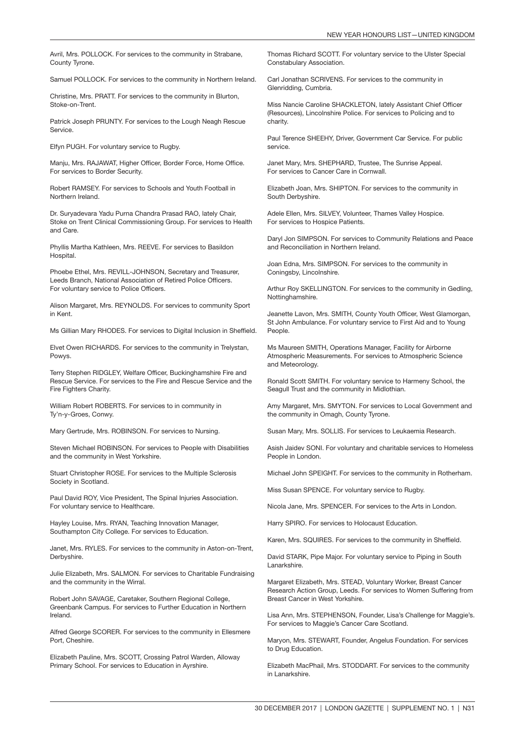Avril, Mrs. POLLOCK. For services to the community in Strabane, County Tyrone.

Samuel POLLOCK. For services to the community in Northern Ireland.

Christine, Mrs. PRATT. For services to the community in Blurton, Stoke-on-Trent.

Patrick Joseph PRUNTY. For services to the Lough Neagh Rescue Service.

Elfyn PUGH. For voluntary service to Rugby.

Manju, Mrs. RAJAWAT, Higher Officer, Border Force, Home Office. For services to Border Security.

Robert RAMSEY. For services to Schools and Youth Football in Northern Ireland.

Dr. Suryadevara Yadu Purna Chandra Prasad RAO, lately Chair, Stoke on Trent Clinical Commissioning Group. For services to Health and Care.

Phyllis Martha Kathleen, Mrs. REEVE. For services to Basildon Hospital.

Phoebe Ethel, Mrs. REVILL-JOHNSON, Secretary and Treasurer, Leeds Branch, National Association of Retired Police Officers. For voluntary service to Police Officers.

Alison Margaret, Mrs. REYNOLDS. For services to community Sport in Kent.

Ms Gillian Mary RHODES. For services to Digital Inclusion in Sheffield.

Elvet Owen RICHARDS. For services to the community in Trelystan, Powys.

Terry Stephen RIDGLEY, Welfare Officer, Buckinghamshire Fire and Rescue Service. For services to the Fire and Rescue Service and the Fire Fighters Charity.

William Robert ROBERTS. For services to in community in Ty'n-y-Groes, Conwy.

Mary Gertrude, Mrs. ROBINSON. For services to Nursing.

Steven Michael ROBINSON. For services to People with Disabilities and the community in West Yorkshire.

Stuart Christopher ROSE. For services to the Multiple Sclerosis Society in Scotland.

Paul David ROY, Vice President, The Spinal Injuries Association. For voluntary service to Healthcare.

Hayley Louise, Mrs. RYAN, Teaching Innovation Manager, Southampton City College. For services to Education.

Janet, Mrs. RYLES. For services to the community in Aston-on-Trent, Derbyshire.

Julie Elizabeth, Mrs. SALMON. For services to Charitable Fundraising and the community in the Wirral.

Robert John SAVAGE, Caretaker, Southern Regional College, Greenbank Campus. For services to Further Education in Northern Ireland.

Alfred George SCORER. For services to the community in Ellesmere Port, Cheshire.

Elizabeth Pauline, Mrs. SCOTT, Crossing Patrol Warden, Alloway Primary School. For services to Education in Ayrshire.

Thomas Richard SCOTT. For voluntary service to the Ulster Special Constabulary Association.

Carl Jonathan SCRIVENS. For services to the community in Glenridding, Cumbria.

Miss Nancie Caroline SHACKLETON, lately Assistant Chief Officer (Resources), Lincolnshire Police. For services to Policing and to charity.

Paul Terence SHEEHY, Driver, Government Car Service. For public service.

Janet Mary, Mrs. SHEPHARD, Trustee, The Sunrise Appeal. For services to Cancer Care in Cornwall.

Elizabeth Joan, Mrs. SHIPTON. For services to the community in South Derbyshire.

Adele Ellen, Mrs. SILVEY, Volunteer, Thames Valley Hospice. For services to Hospice Patients.

Daryl Jon SIMPSON. For services to Community Relations and Peace and Reconciliation in Northern Ireland.

Joan Edna, Mrs. SIMPSON. For services to the community in Coningsby, Lincolnshire.

Arthur Roy SKELLINGTON. For services to the community in Gedling, Nottinghamshire.

Jeanette Lavon, Mrs. SMITH, County Youth Officer, West Glamorgan, St John Ambulance. For voluntary service to First Aid and to Young People.

Ms Maureen SMITH, Operations Manager, Facility for Airborne Atmospheric Measurements. For services to Atmospheric Science and Meteorology.

Ronald Scott SMITH. For voluntary service to Harmeny School, the Seagull Trust and the community in Midlothian.

Amy Margaret, Mrs. SMYTON. For services to Local Government and the community in Omagh, County Tyrone.

Susan Mary, Mrs. SOLLIS. For services to Leukaemia Research.

Asish Jaidev SONI. For voluntary and charitable services to Homeless People in London.

Michael John SPEIGHT. For services to the community in Rotherham.

Miss Susan SPENCE. For voluntary service to Rugby.

Nicola Jane, Mrs. SPENCER. For services to the Arts in London.

Harry SPIRO. For services to Holocaust Education.

Karen, Mrs. SQUIRES. For services to the community in Sheffield.

David STARK, Pipe Major. For voluntary service to Piping in South Lanarkshire.

Margaret Elizabeth, Mrs. STEAD, Voluntary Worker, Breast Cancer Research Action Group, Leeds. For services to Women Suffering from Breast Cancer in West Yorkshire.

Lisa Ann, Mrs. STEPHENSON, Founder, Lisa's Challenge for Maggie's. For services to Maggie's Cancer Care Scotland.

Maryon, Mrs. STEWART, Founder, Angelus Foundation. For services to Drug Education.

Elizabeth MacPhail, Mrs. STODDART. For services to the community in Lanarkshire.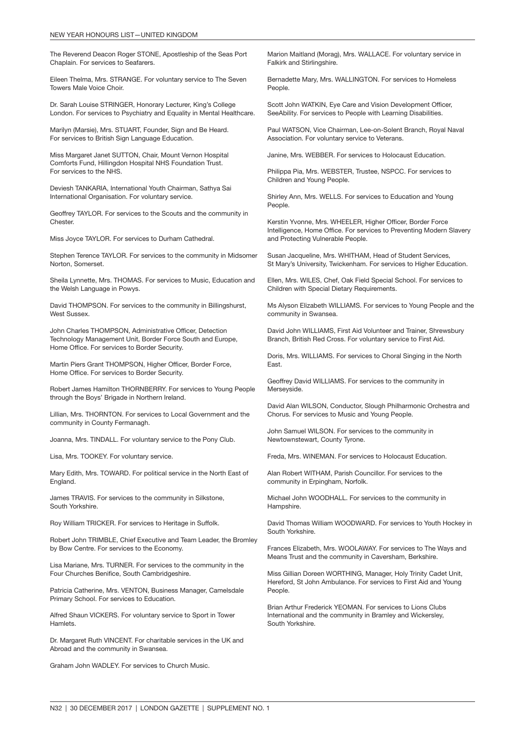The Reverend Deacon Roger STONE, Apostleship of the Seas Port Chaplain. For services to Seafarers.

Eileen Thelma, Mrs. STRANGE. For voluntary service to The Seven Towers Male Voice Choir.

Dr. Sarah Louise STRINGER, Honorary Lecturer, King's College London. For services to Psychiatry and Equality in Mental Healthcare.

Marilyn (Marsie), Mrs. STUART, Founder, Sign and Be Heard. For services to British Sign Language Education.

Miss Margaret Janet SUTTON, Chair, Mount Vernon Hospital Comforts Fund, Hillingdon Hospital NHS Foundation Trust. For services to the NHS.

Deviesh TANKARIA, International Youth Chairman, Sathya Sai International Organisation. For voluntary service.

Geoffrey TAYLOR. For services to the Scouts and the community in **Chester.** 

Miss Joyce TAYLOR. For services to Durham Cathedral.

Stephen Terence TAYLOR. For services to the community in Midsomer Norton, Somerset.

Sheila Lynnette, Mrs. THOMAS. For services to Music, Education and the Welsh Language in Powys.

David THOMPSON. For services to the community in Billingshurst, West Sussex.

John Charles THOMPSON, Administrative Officer, Detection Technology Management Unit, Border Force South and Europe, Home Office. For services to Border Security.

Martin Piers Grant THOMPSON, Higher Officer, Border Force, Home Office. For services to Border Security.

Robert James Hamilton THORNBERRY. For services to Young People through the Boys' Brigade in Northern Ireland.

Lillian, Mrs. THORNTON. For services to Local Government and the community in County Fermanagh.

Joanna, Mrs. TINDALL. For voluntary service to the Pony Club.

Lisa, Mrs. TOOKEY. For voluntary service.

Mary Edith, Mrs. TOWARD. For political service in the North East of England.

James TRAVIS. For services to the community in Silkstone, South Yorkshire.

Roy William TRICKER. For services to Heritage in Suffolk.

Robert John TRIMBLE, Chief Executive and Team Leader, the Bromley by Bow Centre. For services to the Economy.

Lisa Mariane, Mrs. TURNER. For services to the community in the Four Churches Benifice, South Cambridgeshire.

Patricia Catherine, Mrs. VENTON, Business Manager, Camelsdale Primary School. For services to Education.

Alfred Shaun VICKERS. For voluntary service to Sport in Tower Hamlets.

Dr. Margaret Ruth VINCENT. For charitable services in the UK and Abroad and the community in Swansea.

Graham John WADLEY. For services to Church Music.

Marion Maitland (Morag), Mrs. WALLACE. For voluntary service in Falkirk and Stirlingshire.

Bernadette Mary, Mrs. WALLINGTON. For services to Homeless People.

Scott John WATKIN, Eye Care and Vision Development Officer, SeeAbility. For services to People with Learning Disabilities.

Paul WATSON, Vice Chairman, Lee-on-Solent Branch, Royal Naval Association. For voluntary service to Veterans.

Janine, Mrs. WEBBER. For services to Holocaust Education.

Philippa Pia, Mrs. WEBSTER, Trustee, NSPCC. For services to Children and Young People.

Shirley Ann, Mrs. WELLS. For services to Education and Young People.

Kerstin Yvonne, Mrs. WHEELER, Higher Officer, Border Force Intelligence, Home Office. For services to Preventing Modern Slavery and Protecting Vulnerable People.

Susan Jacqueline, Mrs. WHITHAM, Head of Student Services, St Mary's University, Twickenham. For services to Higher Education.

Ellen, Mrs. WILES, Chef, Oak Field Special School. For services to Children with Special Dietary Requirements.

Ms Alyson Elizabeth WILLIAMS. For services to Young People and the community in Swansea.

David John WILLIAMS, First Aid Volunteer and Trainer, Shrewsbury Branch, British Red Cross. For voluntary service to First Aid.

Doris, Mrs. WILLIAMS. For services to Choral Singing in the North East.

Geoffrey David WILLIAMS. For services to the community in Merseyside.

David Alan WILSON, Conductor, Slough Philharmonic Orchestra and Chorus. For services to Music and Young People.

John Samuel WILSON. For services to the community in Newtownstewart, County Tyrone.

Freda, Mrs. WINEMAN. For services to Holocaust Education.

Alan Robert WITHAM, Parish Councillor. For services to the community in Erpingham, Norfolk.

Michael John WOODHALL. For services to the community in Hampshire.

David Thomas William WOODWARD. For services to Youth Hockey in South Yorkshire.

Frances Elizabeth, Mrs. WOOLAWAY. For services to The Ways and Means Trust and the community in Caversham, Berkshire.

Miss Gillian Doreen WORTHING, Manager, Holy Trinity Cadet Unit, Hereford, St John Ambulance. For services to First Aid and Young People.

Brian Arthur Frederick YEOMAN. For services to Lions Clubs International and the community in Bramley and Wickersley, South Yorkshire.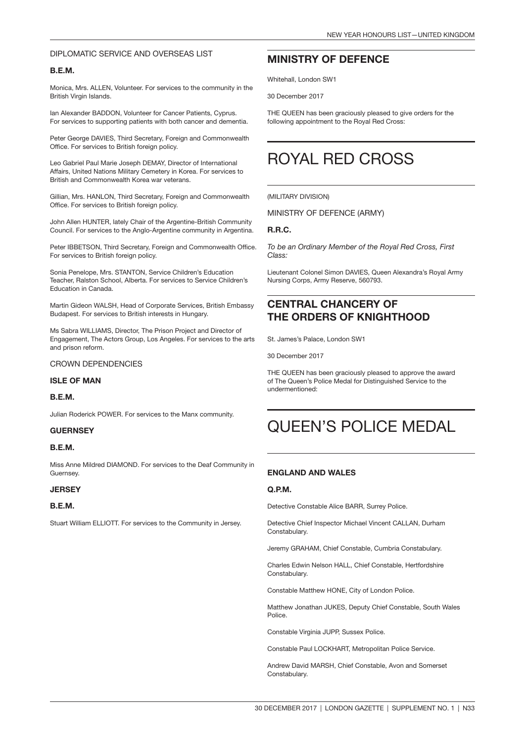#### DIPLOMATIC SERVICE AND OVERSEAS LIST

#### B.E.M.

Monica, Mrs. ALLEN, Volunteer. For services to the community in the British Virgin Islands.

Ian Alexander BADDON, Volunteer for Cancer Patients, Cyprus. For services to supporting patients with both cancer and dementia.

Peter George DAVIES, Third Secretary, Foreign and Commonwealth Office. For services to British foreign policy.

Leo Gabriel Paul Marie Joseph DEMAY, Director of International Affairs, United Nations Military Cemetery in Korea. For services to British and Commonwealth Korea war veterans.

Gillian, Mrs. HANLON, Third Secretary, Foreign and Commonwealth Office. For services to British foreign policy.

John Allen HUNTER, lately Chair of the Argentine-British Community Council. For services to the Anglo-Argentine community in Argentina.

Peter IBBETSON, Third Secretary, Foreign and Commonwealth Office. For services to British foreign policy.

Sonia Penelope, Mrs. STANTON, Service Children's Education Teacher, Ralston School, Alberta. For services to Service Children's Education in Canada.

Martin Gideon WALSH, Head of Corporate Services, British Embassy Budapest. For services to British interests in Hungary.

Ms Sabra WILLIAMS, Director, The Prison Project and Director of Engagement, The Actors Group, Los Angeles. For services to the arts and prison reform.

#### CROWN DEPENDENCIES

#### ISLE OF MAN

#### B.E.M.

Julian Roderick POWER. For services to the Manx community.

#### **GUERNSEY**

#### B.E.M.

Miss Anne Mildred DIAMOND. For services to the Deaf Community in **Guernsey** 

#### **JERSEY**

#### B.E.M.

Stuart William ELLIOTT. For services to the Community in Jersey.

### MINISTRY OF DEFENCE

Whitehall, London SW1

30 December 2017

THE QUEEN has been graciously pleased to give orders for the following appointment to the Royal Red Cross:

## ROYAL RED CROSS

#### (MILITARY DIVISION)

MINISTRY OF DEFENCE (ARMY)

#### R.R.C.

*To be an Ordinary Member of the Royal Red Cross, First Class:*

Lieutenant Colonel Simon DAVIES, Queen Alexandra's Royal Army Nursing Corps, Army Reserve, 560793.

### CENTRAL CHANCERY OF THE ORDERS OF KNIGHTHOOD

St. James's Palace, London SW1

30 December 2017

THE QUEEN has been graciously pleased to approve the award of The Queen's Police Medal for Distinguished Service to the undermentioned:

## QUEEN'S POLICE MEDAL

#### ENGLAND AND WALES

#### Q.P.M.

Detective Constable Alice BARR, Surrey Police.

Detective Chief Inspector Michael Vincent CALLAN, Durham Constabulary.

Jeremy GRAHAM, Chief Constable, Cumbria Constabulary.

Charles Edwin Nelson HALL, Chief Constable, Hertfordshire Constabulary.

Constable Matthew HONE, City of London Police.

Matthew Jonathan JUKES, Deputy Chief Constable, South Wales Police.

Constable Virginia JUPP, Sussex Police.

Constable Paul LOCKHART, Metropolitan Police Service.

Andrew David MARSH, Chief Constable, Avon and Somerset Constabulary.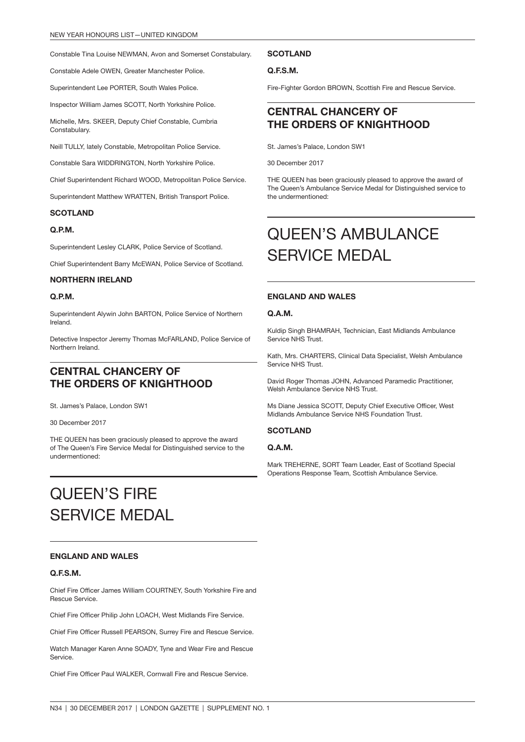Constable Tina Louise NEWMAN, Avon and Somerset Constabulary.

Constable Adele OWEN, Greater Manchester Police.

Superintendent Lee PORTER, South Wales Police.

Inspector William James SCOTT, North Yorkshire Police.

Michelle, Mrs. SKEER, Deputy Chief Constable, Cumbria Constabulary.

Neill TULLY, lately Constable, Metropolitan Police Service.

Constable Sara WIDDRINGTON, North Yorkshire Police.

Chief Superintendent Richard WOOD, Metropolitan Police Service.

Superintendent Matthew WRATTEN, British Transport Police.

#### **SCOTLAND**

#### Q.P.M.

Superintendent Lesley CLARK, Police Service of Scotland.

Chief Superintendent Barry McEWAN, Police Service of Scotland.

#### NORTHERN IRELAND

#### Q.P.M.

Superintendent Alywin John BARTON, Police Service of Northern Ireland.

Detective Inspector Jeremy Thomas McFARLAND, Police Service of Northern Ireland.

### CENTRAL CHANCERY OF THE ORDERS OF KNIGHTHOOD

St. James's Palace, London SW1

30 December 2017

THE QUEEN has been graciously pleased to approve the award of The Queen's Fire Service Medal for Distinguished service to the undermentioned:

## QUEEN'S FIRE SERVICE MEDAL

#### ENGLAND AND WALES

#### Q.F.S.M.

Chief Fire Officer James William COURTNEY, South Yorkshire Fire and Rescue Service.

Chief Fire Officer Philip John LOACH, West Midlands Fire Service.

Chief Fire Officer Russell PEARSON, Surrey Fire and Rescue Service.

Watch Manager Karen Anne SOADY, Tyne and Wear Fire and Rescue Service.

Chief Fire Officer Paul WALKER, Cornwall Fire and Rescue Service.

#### **SCOTLAND**

#### Q.F.S.M.

Fire-Fighter Gordon BROWN, Scottish Fire and Rescue Service.

### CENTRAL CHANCERY OF THE ORDERS OF KNIGHTHOOD

St. James's Palace, London SW1

30 December 2017

THE QUEEN has been graciously pleased to approve the award of The Queen's Ambulance Service Medal for Distinguished service to the undermentioned:

## QUEEN'S AMBULANCE SERVICE MEDAL

#### ENGLAND AND WALES

#### Q.A.M.

Kuldip Singh BHAMRAH, Technician, East Midlands Ambulance Service NHS Trust.

Kath, Mrs. CHARTERS, Clinical Data Specialist, Welsh Ambulance Service NHS Trust.

David Roger Thomas JOHN, Advanced Paramedic Practitioner, Welsh Ambulance Service NHS Trust.

Ms Diane Jessica SCOTT, Deputy Chief Executive Officer, West Midlands Ambulance Service NHS Foundation Trust.

#### **SCOTLAND**

#### Q.A.M.

Mark TREHERNE, SORT Team Leader, East of Scotland Special Operations Response Team, Scottish Ambulance Service.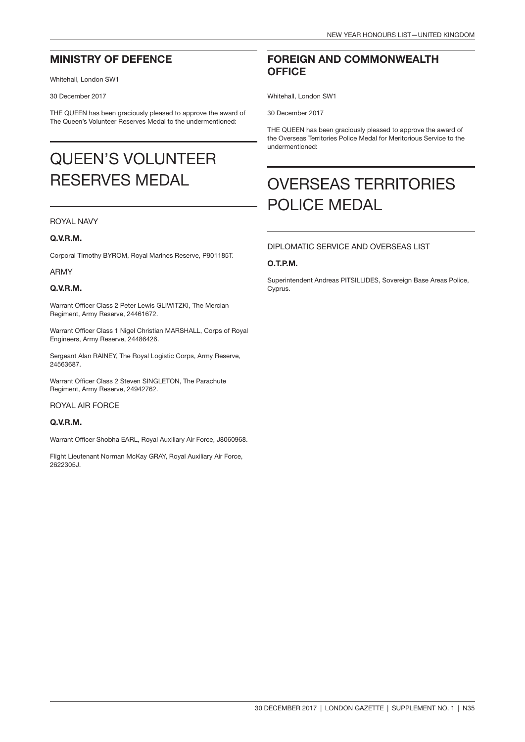### MINISTRY OF DEFENCE

Whitehall, London SW1

30 December 2017

THE QUEEN has been graciously pleased to approve the award of The Queen's Volunteer Reserves Medal to the undermentioned:

## QUEEN'S VOLUNTEER RESERVES MEDAL

#### ROYAL NAVY

#### Q.V.R.M.

Corporal Timothy BYROM, Royal Marines Reserve, P901185T.

#### ARMY

#### Q.V.R.M.

Warrant Officer Class 2 Peter Lewis GLIWITZKI, The Mercian Regiment, Army Reserve, 24461672.

Warrant Officer Class 1 Nigel Christian MARSHALL, Corps of Royal Engineers, Army Reserve, 24486426.

Sergeant Alan RAINEY, The Royal Logistic Corps, Army Reserve, 24563687.

Warrant Officer Class 2 Steven SINGLETON, The Parachute Regiment, Army Reserve, 24942762.

ROYAL AIR FORCE

#### Q.V.R.M.

Warrant Officer Shobha EARL, Royal Auxiliary Air Force, J8060968.

Flight Lieutenant Norman McKay GRAY, Royal Auxiliary Air Force, 2622305J.

### FOREIGN AND COMMONWEALTH **OFFICE**

Whitehall, London SW1

30 December 2017

THE QUEEN has been graciously pleased to approve the award of the Overseas Territories Police Medal for Meritorious Service to the undermentioned:

## OVERSEAS TERRITORIES POLICE MEDAL

### DIPLOMATIC SERVICE AND OVERSEAS LIST

#### O.T.P.M.

Superintendent Andreas PITSILLIDES, Sovereign Base Areas Police, Cyprus.